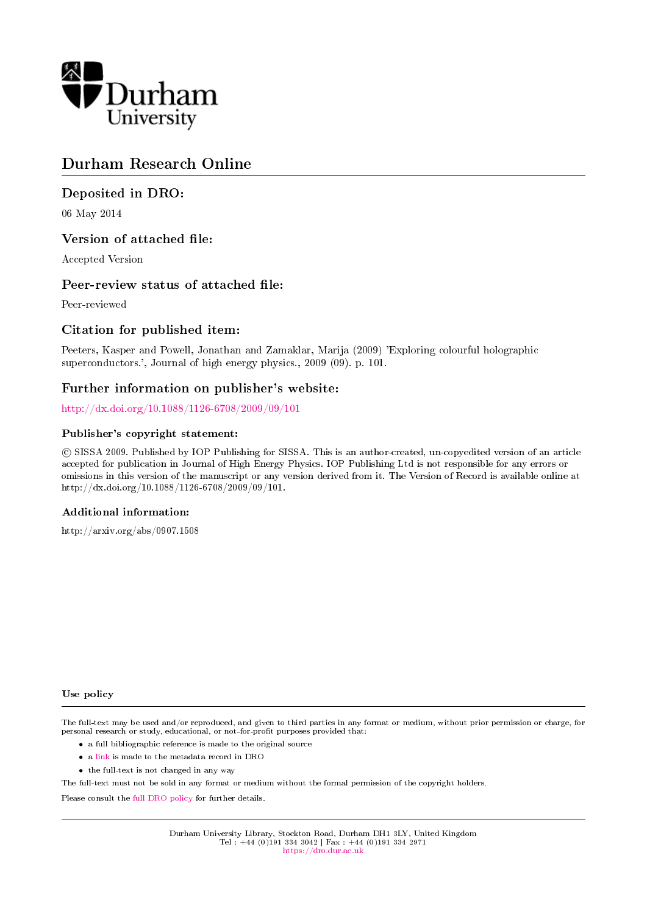

## Durham Research Online

## Deposited in DRO:

06 May 2014

## Version of attached file:

Accepted Version

## Peer-review status of attached file:

Peer-reviewed

## Citation for published item:

Peeters, Kasper and Powell, Jonathan and Zamaklar, Marija (2009) 'Exploring colourful holographic superconductors.', Journal of high energy physics., 2009 (09). p. 101.

## Further information on publisher's website:

<http://dx.doi.org/10.1088/1126-6708/2009/09/101>

#### Publisher's copyright statement:

 c SISSA 2009. Published by IOP Publishing for SISSA. This is an author-created, un-copyedited version of an article accepted for publication in Journal of High Energy Physics. IOP Publishing Ltd is not responsible for any errors or omissions in this version of the manuscript or any version derived from it. The Version of Record is available online at http://dx.doi.org/10.1088/1126-6708/2009/09/101.

#### Additional information:

http://arxiv.org/abs/0907.1508

#### Use policy

The full-text may be used and/or reproduced, and given to third parties in any format or medium, without prior permission or charge, for personal research or study, educational, or not-for-profit purposes provided that:

- a full bibliographic reference is made to the original source
- a [link](http://dro.dur.ac.uk/12335/) is made to the metadata record in DRO
- the full-text is not changed in any way

The full-text must not be sold in any format or medium without the formal permission of the copyright holders.

Please consult the [full DRO policy](https://dro.dur.ac.uk/policies/usepolicy.pdf) for further details.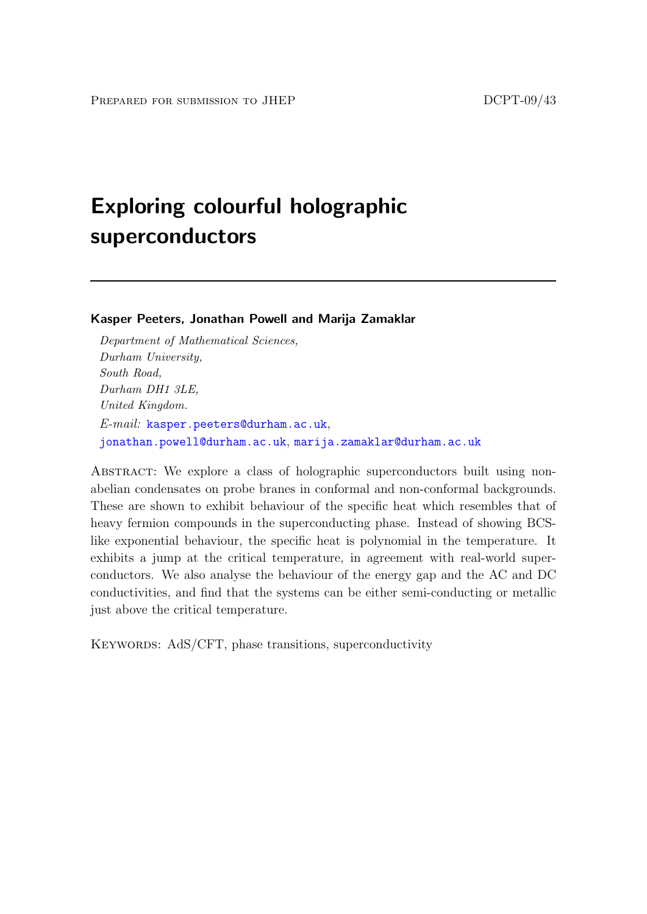# Exploring colourful holographic superconductors

Kasper Peeters, Jonathan Powell and Marija Zamaklar

Department of Mathematical Sciences, Durham University, South Road, Durham DH1 3LE, United Kingdom. E-mail: [kasper.peeters@durham.ac.uk](mailto:kasper.peeters@durham.ac.uk), [jonathan.powell@durham.ac.uk](mailto:jonathan.powell@durham.ac.uk), [marija.zamaklar@durham.ac.uk](mailto:marija.zamaklar@durham.ac.uk)

ABSTRACT: We explore a class of holographic superconductors built using nonabelian condensates on probe branes in conformal and non-conformal backgrounds. These are shown to exhibit behaviour of the specific heat which resembles that of heavy fermion compounds in the superconducting phase. Instead of showing BCSlike exponential behaviour, the specific heat is polynomial in the temperature. It exhibits a jump at the critical temperature, in agreement with real-world superconductors. We also analyse the behaviour of the energy gap and the AC and DC conductivities, and find that the systems can be either semi-conducting or metallic just above the critical temperature.

KEYWORDS: AdS/CFT, phase transitions, superconductivity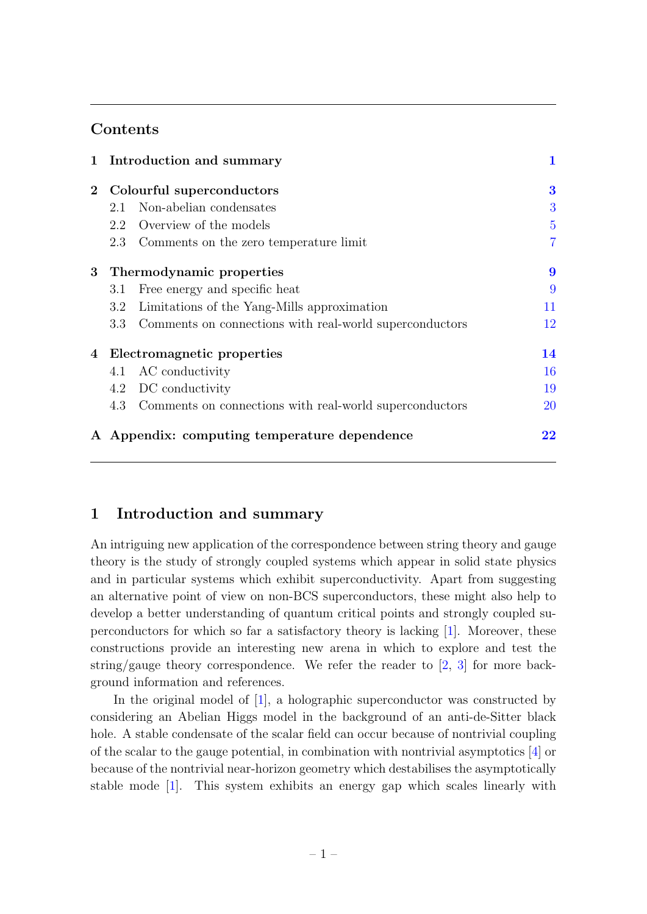## **Contents**

|                |                            | 1 Introduction and summary                                  |                |
|----------------|----------------------------|-------------------------------------------------------------|----------------|
| $\bf{2}$       | Colourful superconductors  |                                                             | 3              |
|                | 2.1                        | Non-abelian condensates                                     | 3              |
|                |                            | 2.2 Overview of the models                                  | $\overline{5}$ |
|                | 2.3                        | Comments on the zero temperature limit                      | $\overline{7}$ |
| 3 <sup>1</sup> | Thermodynamic properties   |                                                             | 9              |
|                | 3.1                        | Free energy and specific heat                               | 9              |
|                | $3.2\,$                    | Limitations of the Yang-Mills approximation                 | 11             |
|                | $3.3\,$                    | Comments on connections with real-world superconductors     | 12             |
| 4              | Electromagnetic properties |                                                             | 14             |
|                | 4.1                        | AC conductivity                                             | 16             |
|                |                            | 4.2 DC conductivity                                         | 19             |
|                |                            | 4.3 Comments on connections with real-world superconductors | 20             |
| $\mathbf{A}$   |                            | Appendix: computing temperature dependence                  | $22\,$         |

## <span id="page-2-0"></span>1 Introduction and summary

An intriguing new application of the correspondence between string theory and gauge theory is the study of strongly coupled systems which appear in solid state physics and in particular systems which exhibit superconductivity. Apart from suggesting an alternative point of view on non-BCS superconductors, these might also help to develop a better understanding of quantum critical points and strongly coupled superconductors for which so far a satisfactory theory is lacking [\[1\]](#page-25-0). Moreover, these constructions provide an interesting new arena in which to explore and test the string/gauge theory correspondence. We refer the reader to  $[2, 3]$  $[2, 3]$  $[2, 3]$  for more background information and references.

In the original model of [\[1\]](#page-25-0), a holographic superconductor was constructed by considering an Abelian Higgs model in the background of an anti-de-Sitter black hole. A stable condensate of the scalar field can occur because of nontrivial coupling of the scalar to the gauge potential, in combination with nontrivial asymptotics  $[4]$  or because of the nontrivial near-horizon geometry which destabilises the asymptotically stable mode [\[1\]](#page-25-0). This system exhibits an energy gap which scales linearly with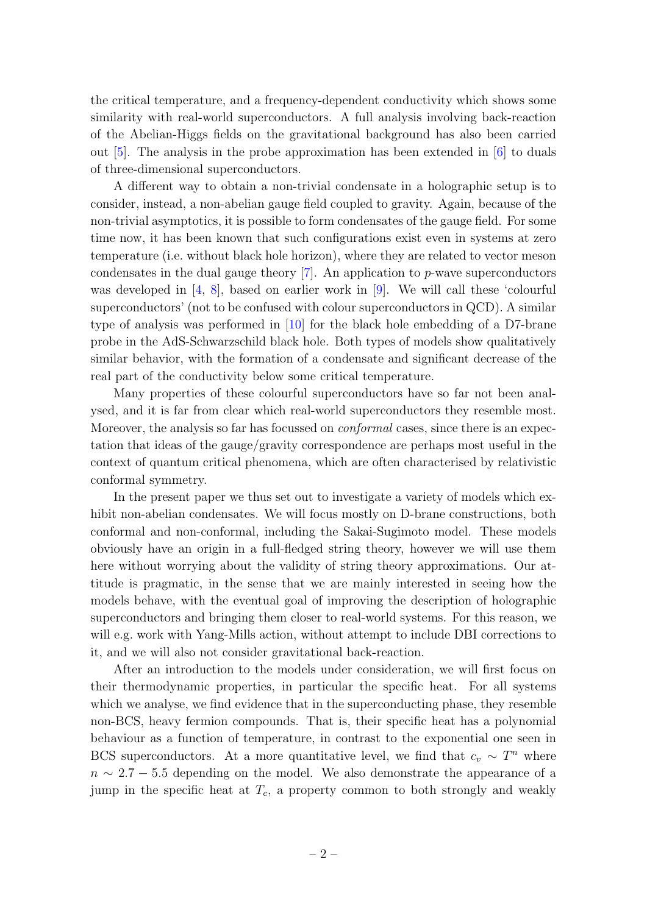the critical temperature, and a frequency-dependent conductivity which shows some similarity with real-world superconductors. A full analysis involving back-reaction of the Abelian-Higgs fields on the gravitational background has also been carried out [\[5\]](#page-25-4). The analysis in the probe approximation has been extended in [\[6\]](#page-25-5) to duals of three-dimensional superconductors.

A different way to obtain a non-trivial condensate in a holographic setup is to consider, instead, a non-abelian gauge field coupled to gravity. Again, because of the non-trivial asymptotics, it is possible to form condensates of the gauge field. For some time now, it has been known that such configurations exist even in systems at zero temperature (i.e. without black hole horizon), where they are related to vector meson condensates in the dual gauge theory  $[7]$ . An application to p-wave superconductors was developed in [\[4,](#page-25-3) [8\]](#page-25-7), based on earlier work in [\[9\]](#page-25-8). We will call these 'colourful superconductors' (not to be confused with colour superconductors in QCD). A similar type of analysis was performed in [\[10\]](#page-25-9) for the black hole embedding of a D7-brane probe in the AdS-Schwarzschild black hole. Both types of models show qualitatively similar behavior, with the formation of a condensate and significant decrease of the real part of the conductivity below some critical temperature.

Many properties of these colourful superconductors have so far not been analysed, and it is far from clear which real-world superconductors they resemble most. Moreover, the analysis so far has focussed on *conformal* cases, since there is an expectation that ideas of the gauge/gravity correspondence are perhaps most useful in the context of quantum critical phenomena, which are often characterised by relativistic conformal symmetry.

In the present paper we thus set out to investigate a variety of models which exhibit non-abelian condensates. We will focus mostly on D-brane constructions, both conformal and non-conformal, including the Sakai-Sugimoto model. These models obviously have an origin in a full-fledged string theory, however we will use them here without worrying about the validity of string theory approximations. Our attitude is pragmatic, in the sense that we are mainly interested in seeing how the models behave, with the eventual goal of improving the description of holographic superconductors and bringing them closer to real-world systems. For this reason, we will e.g. work with Yang-Mills action, without attempt to include DBI corrections to it, and we will also not consider gravitational back-reaction.

After an introduction to the models under consideration, we will first focus on their thermodynamic properties, in particular the specific heat. For all systems which we analyse, we find evidence that in the superconducting phase, they resemble non-BCS, heavy fermion compounds. That is, their specific heat has a polynomial behaviour as a function of temperature, in contrast to the exponential one seen in BCS superconductors. At a more quantitative level, we find that  $c_v \sim T^n$  where  $n \sim 2.7 - 5.5$  depending on the model. We also demonstrate the appearance of a jump in the specific heat at  $T_c$ , a property common to both strongly and weakly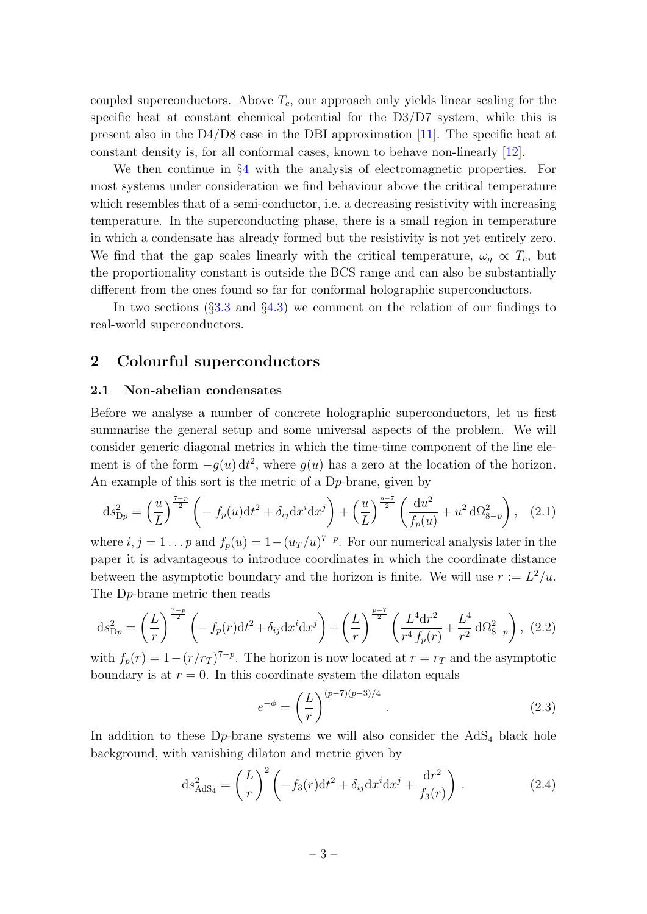coupled superconductors. Above  $T_c$ , our approach only yields linear scaling for the specific heat at constant chemical potential for the D3/D7 system, while this is present also in the D4/D8 case in the DBI approximation [\[11\]](#page-25-10). The specific heat at constant density is, for all conformal cases, known to behave non-linearly [\[12\]](#page-25-11).

We then continue in §[4](#page-15-0) with the analysis of electromagnetic properties. For most systems under consideration we find behaviour above the critical temperature which resembles that of a semi-conductor, i.e. a decreasing resistivity with increasing temperature. In the superconducting phase, there is a small region in temperature in which a condensate has already formed but the resistivity is not yet entirely zero. We find that the gap scales linearly with the critical temperature,  $\omega_q \propto T_c$ , but the proportionality constant is outside the BCS range and can also be substantially different from the ones found so far for conformal holographic superconductors.

In two sections  $(\S3.3 \text{ and } \S4.3)$  $(\S3.3 \text{ and } \S4.3)$  $(\S3.3 \text{ and } \S4.3)$  $(\S3.3 \text{ and } \S4.3)$  we comment on the relation of our findings to real-world superconductors.

## <span id="page-4-0"></span>2 Colourful superconductors

#### <span id="page-4-1"></span>2.1 Non-abelian condensates

Before we analyse a number of concrete holographic superconductors, let us first summarise the general setup and some universal aspects of the problem. We will consider generic diagonal metrics in which the time-time component of the line element is of the form  $-g(u) dt^2$ , where  $g(u)$  has a zero at the location of the horizon. An example of this sort is the metric of a Dp-brane, given by

$$
ds_{Dp}^2 = \left(\frac{u}{L}\right)^{\frac{7-p}{2}} \left(-f_p(u)dt^2 + \delta_{ij}dx^i dx^j\right) + \left(\frac{u}{L}\right)^{\frac{p-7}{2}} \left(\frac{du^2}{f_p(u)} + u^2 d\Omega_{8-p}^2\right), \quad (2.1)
$$

where  $i, j = 1 \dots p$  and  $f_p(u) = 1 - (u_T/u)^{7-p}$ . For our numerical analysis later in the paper it is advantageous to introduce coordinates in which the coordinate distance between the asymptotic boundary and the horizon is finite. We will use  $r := L^2/u$ . The Dp-brane metric then reads

<span id="page-4-2"></span>
$$
ds_{Dp}^2 = \left(\frac{L}{r}\right)^{\frac{7-p}{2}} \left(-f_p(r)dt^2 + \delta_{ij}dx^i dx^j\right) + \left(\frac{L}{r}\right)^{\frac{p-7}{2}} \left(\frac{L^4 dr^2}{r^4 f_p(r)} + \frac{L^4}{r^2} d\Omega_{8-p}^2\right), (2.2)
$$

with  $f_p(r) = 1 - (r/r_T)^{7-p}$ . The horizon is now located at  $r = r_T$  and the asymptotic boundary is at  $r = 0$ . In this coordinate system the dilaton equals

$$
e^{-\phi} = \left(\frac{L}{r}\right)^{(p-7)(p-3)/4}.
$$
 (2.3)

In addition to these  $D_p$ -brane systems we will also consider the  $AdS_4$  black hole background, with vanishing dilaton and metric given by

$$
ds_{AdS_4}^2 = \left(\frac{L}{r}\right)^2 \left(-f_3(r)dt^2 + \delta_{ij}dx^i dx^j + \frac{dr^2}{f_3(r)}\right). \tag{2.4}
$$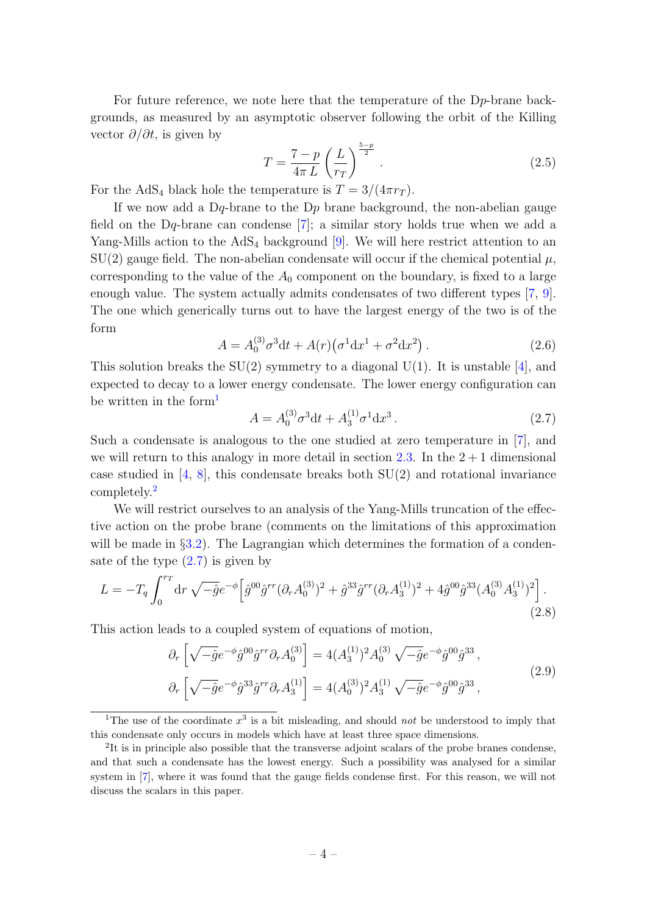For future reference, we note here that the temperature of the Dp-brane backgrounds, as measured by an asymptotic observer following the orbit of the Killing vector  $\partial/\partial t$ , is given by

<span id="page-5-6"></span>
$$
T = \frac{7-p}{4\pi L} \left(\frac{L}{r_T}\right)^{\frac{5-p}{2}}.
$$
\n
$$
(2.5)
$$

For the AdS<sub>4</sub> black hole the temperature is  $T = 3/(4\pi r_T)$ .

If we now add a Dq-brane to the D<sub>p</sub> brane background, the non-abelian gauge field on the Dq-brane can condense [\[7\]](#page-25-6); a similar story holds true when we add a Yang-Mills action to the  $AdS_4$  background [\[9\]](#page-25-8). We will here restrict attention to an  $SU(2)$  gauge field. The non-abelian condensate will occur if the chemical potential  $\mu$ , corresponding to the value of the  $A_0$  component on the boundary, is fixed to a large enough value. The system actually admits condensates of two different types [\[7,](#page-25-6) [9\]](#page-25-8). The one which generically turns out to have the largest energy of the two is of the form

<span id="page-5-4"></span>
$$
A = A_0^{(3)} \sigma^3 \mathrm{d}t + A(r) \left( \sigma^1 \mathrm{d}x^1 + \sigma^2 \mathrm{d}x^2 \right). \tag{2.6}
$$

This solution breaks the  $SU(2)$  symmetry to a diagonal  $U(1)$ . It is unstable [\[4\]](#page-25-3), and expected to decay to a lower energy condensate. The lower energy configuration can be written in the form<sup>[1](#page-5-0)</sup>

<span id="page-5-2"></span>
$$
A = A_0^{(3)} \sigma^3 \mathrm{d}t + A_3^{(1)} \sigma^1 \mathrm{d}x^3 \,. \tag{2.7}
$$

Such a condensate is analogous to the one studied at zero temperature in [\[7\]](#page-25-6), and we will return to this analogy in more detail in section [2.3.](#page-8-0) In the  $2+1$  dimensional case studied in  $[4, 8]$  $[4, 8]$  $[4, 8]$ , this condensate breaks both  $SU(2)$  and rotational invariance completely.[2](#page-5-1)

We will restrict ourselves to an analysis of the Yang-Mills truncation of the effective action on the probe brane (comments on the limitations of this approximation will be made in §[3.2\)](#page-12-0). The Lagrangian which determines the formation of a condensate of the type  $(2.7)$  is given by

<span id="page-5-5"></span>
$$
L = -T_q \int_0^{r_T} dr \sqrt{-\hat{g}} e^{-\phi} \left[ \hat{g}^{00} \hat{g}^{rr} (\partial_r A_0^{(3)})^2 + \hat{g}^{33} \hat{g}^{rr} (\partial_r A_3^{(1)})^2 + 4 \hat{g}^{00} \hat{g}^{33} (A_0^{(3)} A_3^{(1)})^2 \right].
$$
\n(2.8)

This action leads to a coupled system of equations of motion,

<span id="page-5-3"></span>
$$
\partial_r \left[ \sqrt{-\hat{g}} e^{-\phi} \hat{g}^{00} \hat{g}^{rr} \partial_r A_0^{(3)} \right] = 4(A_3^{(1)})^2 A_0^{(3)} \sqrt{-\hat{g}} e^{-\phi} \hat{g}^{00} \hat{g}^{33},
$$
  

$$
\partial_r \left[ \sqrt{-\hat{g}} e^{-\phi} \hat{g}^{33} \hat{g}^{rr} \partial_r A_3^{(1)} \right] = 4(A_0^{(3)})^2 A_3^{(1)} \sqrt{-\hat{g}} e^{-\phi} \hat{g}^{00} \hat{g}^{33},
$$
\n(2.9)

<span id="page-5-0"></span><sup>&</sup>lt;sup>1</sup>The use of the coordinate  $x^3$  is a bit misleading, and should *not* be understood to imply that this condensate only occurs in models which have at least three space dimensions.

<span id="page-5-1"></span><sup>&</sup>lt;sup>2</sup>It is in principle also possible that the transverse adjoint scalars of the probe branes condense, and that such a condensate has the lowest energy. Such a possibility was analysed for a similar system in [\[7\]](#page-25-6), where it was found that the gauge fields condense first. For this reason, we will not discuss the scalars in this paper.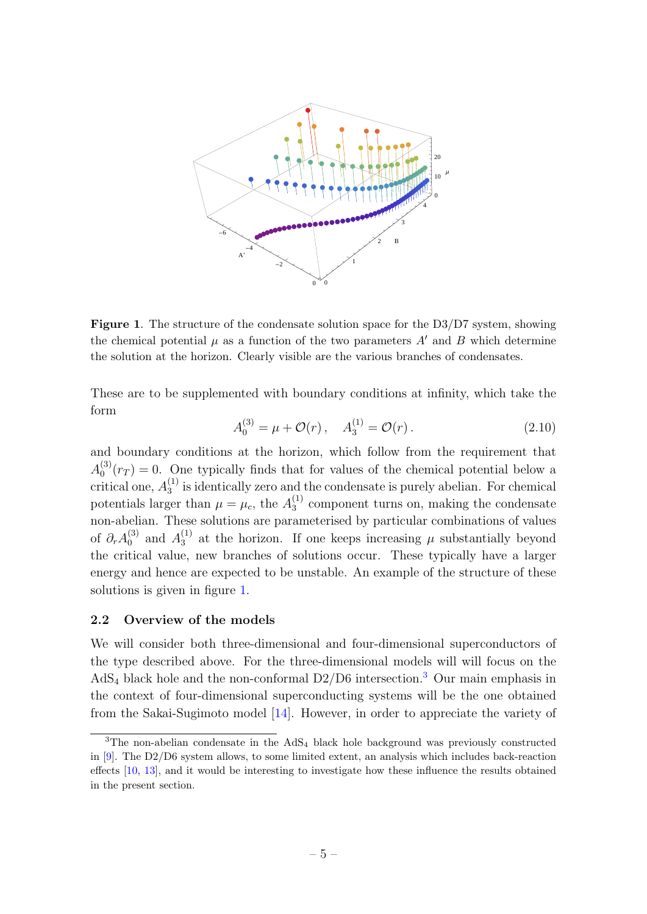

<span id="page-6-1"></span>Figure 1. The structure of the condensate solution space for the D3/D7 system, showing the chemical potential  $\mu$  as a function of the two parameters  $A'$  and B which determine the solution at the horizon. Clearly visible are the various branches of condensates.

These are to be supplemented with boundary conditions at infinity, which take the form

$$
A_0^{(3)} = \mu + \mathcal{O}(r) \,, \quad A_3^{(1)} = \mathcal{O}(r) \,. \tag{2.10}
$$

and boundary conditions at the horizon, which follow from the requirement that  $A_0^{(3)}$  $\binom{5}{0}(r_T) = 0$ . One typically finds that for values of the chemical potential below a critical one,  $A_3^{(1)}$  $_3<sup>(1)</sup>$  is identically zero and the condensate is purely abelian. For chemical potentials larger than  $\mu = \mu_c$ , the  $A_3^{(1)}$  $_3<sup>(1)</sup>$  component turns on, making the condensate non-abelian. These solutions are parameterised by particular combinations of values of  $\partial_r A_0^{(3)}$  $_0^{(3)}$  and  $A_3^{(1)}$  $_3<sup>(1)</sup>$  at the horizon. If one keeps increasing  $\mu$  substantially beyond the critical value, new branches of solutions occur. These typically have a larger energy and hence are expected to be unstable. An example of the structure of these solutions is given in figure [1.](#page-6-1)

#### <span id="page-6-0"></span>2.2 Overview of the models

We will consider both three-dimensional and four-dimensional superconductors of the type described above. For the three-dimensional models will will focus on the AdS<sub>4</sub> black hole and the non-conformal D2/D6 intersection.<sup>[3](#page-6-2)</sup> Our main emphasis in the context of four-dimensional superconducting systems will be the one obtained from the Sakai-Sugimoto model [\[14\]](#page-25-12). However, in order to appreciate the variety of

<span id="page-6-2"></span><sup>&</sup>lt;sup>3</sup>The non-abelian condensate in the  $AdS_4$  black hole background was previously constructed in [\[9\]](#page-25-8). The D2/D6 system allows, to some limited extent, an analysis which includes back-reaction effects [\[10,](#page-25-9) [13\]](#page-25-13), and it would be interesting to investigate how these influence the results obtained in the present section.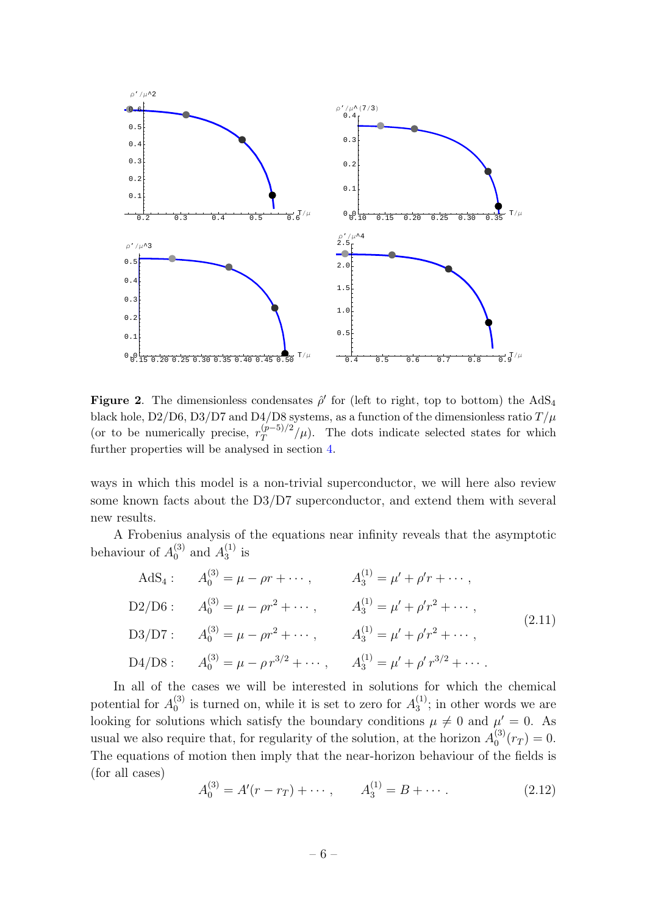

<span id="page-7-0"></span>Figure 2. The dimensionless condensates  $\hat{\rho}'$  for (left to right, top to bottom) the AdS<sub>4</sub> black hole, D2/D6, D3/D7 and D4/D8 systems, as a function of the dimensionless ratio  $T/\mu$ (or to be numerically precise,  $r_T^{(p-5)/2}$  $\int_T^{(p-3)/2}$ / $\mu$ ). The dots indicate selected states for which further properties will be analysed in section [4.](#page-15-0)

ways in which this model is a non-trivial superconductor, we will here also review some known facts about the D3/D7 superconductor, and extend them with several new results.

A Frobenius analysis of the equations near infinity reveals that the asymptotic behaviour of  $A_0^{(3)}$  $_0^{(3)}$  and  $A_3^{(1)}$  $_3^{(1)}$  is

$$
AdS_4: \t A_0^{(3)} = \mu - \rho r + \cdots, \t A_3^{(1)} = \mu' + \rho' r + \cdots,
$$
  
\n
$$
D2/D6: \t A_0^{(3)} = \mu - \rho r^2 + \cdots, \t A_3^{(1)} = \mu' + \rho' r^2 + \cdots,
$$
  
\n
$$
D3/D7: \t A_0^{(3)} = \mu - \rho r^2 + \cdots, \t A_3^{(1)} = \mu' + \rho' r^2 + \cdots,
$$
  
\n
$$
D4/D8: \t A_0^{(3)} = \mu - \rho r^{3/2} + \cdots, \t A_3^{(1)} = \mu' + \rho' r^{3/2} + \cdots.
$$
  
\n(2.11)

In all of the cases we will be interested in solutions for which the chemical potential for  $A_0^{(3)}$  $\binom{3}{0}$  is turned on, while it is set to zero for  $A_3^{(1)}$  $_3^{(1)}$ ; in other words we are looking for solutions which satisfy the boundary conditions  $\mu \neq 0$  and  $\mu' = 0$ . As usual we also require that, for regularity of the solution, at the horizon  $A_0^{(3)}$  $t_0^{(3)}(r_T)=0.$ The equations of motion then imply that the near-horizon behaviour of the fields is (for all cases)

$$
A_0^{(3)} = A'(r - r_T) + \cdots, \qquad A_3^{(1)} = B + \cdots.
$$
 (2.12)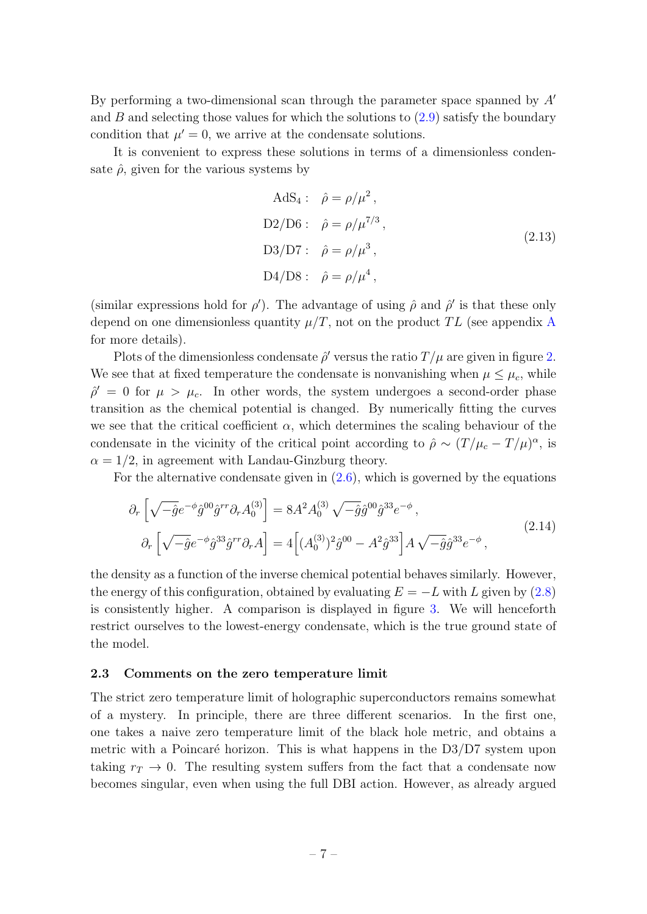By performing a two-dimensional scan through the parameter space spanned by  $A<sup>'</sup>$ and  $B$  and selecting those values for which the solutions to  $(2.9)$  satisfy the boundary condition that  $\mu' = 0$ , we arrive at the condensate solutions.

It is convenient to express these solutions in terms of a dimensionless condensate  $\hat{\rho}$ , given for the various systems by

$$
AdS_4: \quad \hat{\rho} = \rho/\mu^2,
$$
  
\n
$$
D2/D6: \quad \hat{\rho} = \rho/\mu^{7/3},
$$
  
\n
$$
D3/D7: \quad \hat{\rho} = \rho/\mu^3,
$$
  
\n
$$
D4/D8: \quad \hat{\rho} = \rho/\mu^4,
$$
\n(2.13)

(similar expressions hold for  $\rho'$ ). The advantage of using  $\hat{\rho}$  and  $\hat{\rho}'$  is that these only depend on one dimensionless quantity  $\mu/T$ , not on the product TL (see appendix [A](#page-23-0) for more details).

Plots of the dimensionless condensate  $\hat{\rho}'$  versus the ratio  $T/\mu$  are given in figure [2.](#page-7-0) We see that at fixed temperature the condensate is nonvanishing when  $\mu \leq \mu_c$ , while  $\hat{\rho}' = 0$  for  $\mu > \mu_c$ . In other words, the system undergoes a second-order phase transition as the chemical potential is changed. By numerically fitting the curves we see that the critical coefficient  $\alpha$ , which determines the scaling behaviour of the condensate in the vicinity of the critical point according to  $\hat{\rho} \sim (T/\mu_c - T/\mu)^{\alpha}$ , is  $\alpha = 1/2$ , in agreement with Landau-Ginzburg theory.

For the alternative condensate given in  $(2.6)$ , which is governed by the equations

$$
\partial_r \left[ \sqrt{-\hat{g}} e^{-\phi} \hat{g}^{00} \hat{g}^{rr} \partial_r A_0^{(3)} \right] = 8A^2 A_0^{(3)} \sqrt{-\hat{g}} \hat{g}^{00} \hat{g}^{33} e^{-\phi} ,
$$
\n
$$
\partial_r \left[ \sqrt{-\hat{g}} e^{-\phi} \hat{g}^{33} \hat{g}^{rr} \partial_r A \right] = 4 \left[ (A_0^{(3)})^2 \hat{g}^{00} - A^2 \hat{g}^{33} \right] A \sqrt{-\hat{g}} \hat{g}^{33} e^{-\phi} ,
$$
\n(2.14)

the density as a function of the inverse chemical potential behaves similarly. However, the energy of this configuration, obtained by evaluating  $E = -L$  with L given by [\(2.8\)](#page-5-5) is consistently higher. A comparison is displayed in figure [3.](#page-9-0) We will henceforth restrict ourselves to the lowest-energy condensate, which is the true ground state of the model.

#### <span id="page-8-0"></span>2.3 Comments on the zero temperature limit

The strict zero temperature limit of holographic superconductors remains somewhat of a mystery. In principle, there are three different scenarios. In the first one, one takes a naive zero temperature limit of the black hole metric, and obtains a metric with a Poincaré horizon. This is what happens in the  $D3/D7$  system upon taking  $r_T \to 0$ . The resulting system suffers from the fact that a condensate now becomes singular, even when using the full DBI action. However, as already argued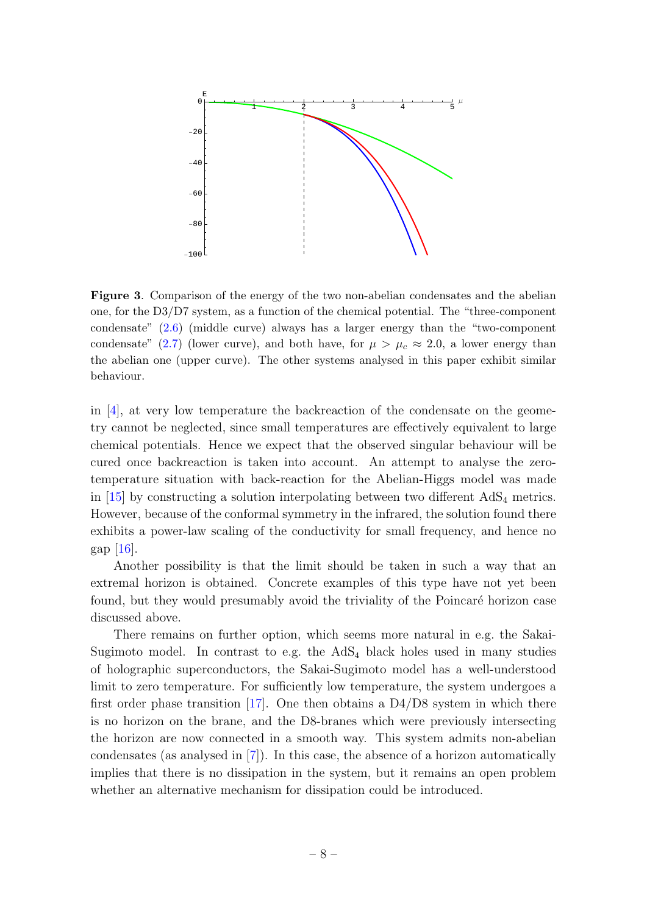

<span id="page-9-0"></span>Figure 3. Comparison of the energy of the two non-abelian condensates and the abelian one, for the D3/D7 system, as a function of the chemical potential. The "three-component condensate" [\(2.6\)](#page-5-4) (middle curve) always has a larger energy than the "two-component condensate" [\(2.7\)](#page-5-2) (lower curve), and both have, for  $\mu > \mu_c \approx 2.0$ , a lower energy than the abelian one (upper curve). The other systems analysed in this paper exhibit similar behaviour.

in  $[4]$ , at very low temperature the backreaction of the condensate on the geometry cannot be neglected, since small temperatures are effectively equivalent to large chemical potentials. Hence we expect that the observed singular behaviour will be cured once backreaction is taken into account. An attempt to analyse the zerotemperature situation with back-reaction for the Abelian-Higgs model was made in  $[15]$  by constructing a solution interpolating between two different  $AdS_4$  metrics. However, because of the conformal symmetry in the infrared, the solution found there exhibits a power-law scaling of the conductivity for small frequency, and hence no gap  $|16|$ .

Another possibility is that the limit should be taken in such a way that an extremal horizon is obtained. Concrete examples of this type have not yet been found, but they would presumably avoid the triviality of the Poincaré horizon case discussed above.

There remains on further option, which seems more natural in e.g. the Sakai-Sugimoto model. In contrast to e.g. the  $AdS<sub>4</sub>$  black holes used in many studies of holographic superconductors, the Sakai-Sugimoto model has a well-understood limit to zero temperature. For sufficiently low temperature, the system undergoes a first order phase transition  $[17]$ . One then obtains a D4/D8 system in which there is no horizon on the brane, and the D8-branes which were previously intersecting the horizon are now connected in a smooth way. This system admits non-abelian condensates (as analysed in [\[7\]](#page-25-6)). In this case, the absence of a horizon automatically implies that there is no dissipation in the system, but it remains an open problem whether an alternative mechanism for dissipation could be introduced.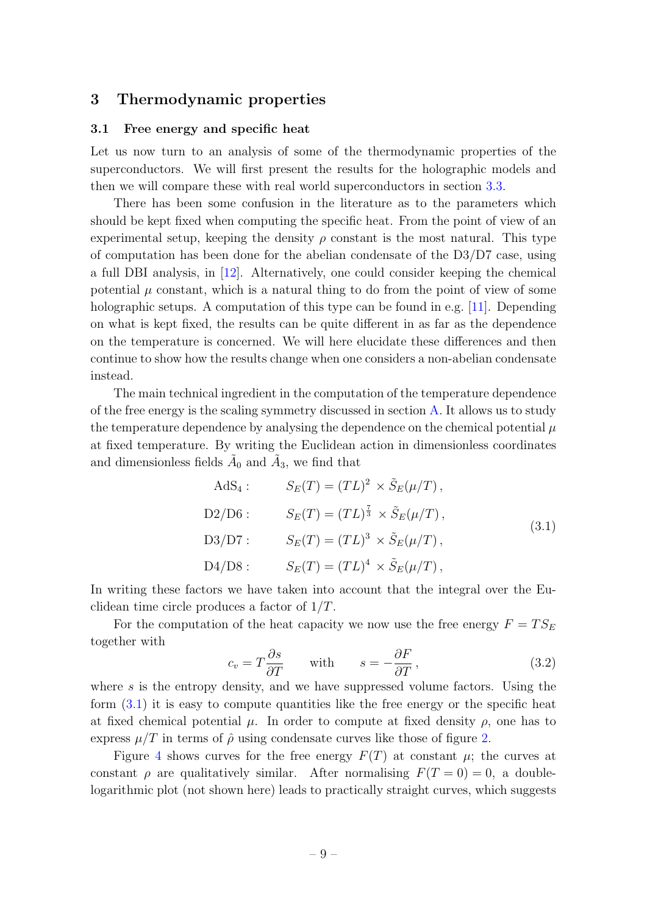## <span id="page-10-0"></span>3 Thermodynamic properties

#### <span id="page-10-1"></span>3.1 Free energy and specific heat

Let us now turn to an analysis of some of the thermodynamic properties of the superconductors. We will first present the results for the holographic models and then we will compare these with real world superconductors in section [3.3.](#page-13-0)

There has been some confusion in the literature as to the parameters which should be kept fixed when computing the specific heat. From the point of view of an experimental setup, keeping the density  $\rho$  constant is the most natural. This type of computation has been done for the abelian condensate of the D3/D7 case, using a full DBI analysis, in [\[12\]](#page-25-11). Alternatively, one could consider keeping the chemical potential  $\mu$  constant, which is a natural thing to do from the point of view of some holographic setups. A computation of this type can be found in e.g. [\[11\]](#page-25-10). Depending on what is kept fixed, the results can be quite different in as far as the dependence on the temperature is concerned. We will here elucidate these differences and then continue to show how the results change when one considers a non-abelian condensate instead.

The main technical ingredient in the computation of the temperature dependence of the free energy is the scaling symmetry discussed in section [A.](#page-23-0) It allows us to study the temperature dependence by analysing the dependence on the chemical potential  $\mu$ at fixed temperature. By writing the Euclidean action in dimensionless coordinates and dimensionless fields  $\tilde{A}_0$  and  $\tilde{A}_3$ , we find that

<span id="page-10-2"></span>AdS<sub>4</sub>: 
$$
S_E(T) = (TL)^2 \times \tilde{S}_E(\mu/T),
$$
  
\nD2/D6: 
$$
S_E(T) = (TL)^{\frac{7}{3}} \times \tilde{S}_E(\mu/T),
$$
  
\nD3/D7: 
$$
S_E(T) = (TL)^3 \times \tilde{S}_E(\mu/T),
$$
  
\nD4/D8: 
$$
S_E(T) = (TL)^4 \times \tilde{S}_E(\mu/T),
$$
  
\n(3.1)

In writing these factors we have taken into account that the integral over the Euclidean time circle produces a factor of  $1/T$ .

For the computation of the heat capacity we now use the free energy  $F = TS_E$ together with

<span id="page-10-3"></span>
$$
c_v = T \frac{\partial s}{\partial T} \quad \text{with} \quad s = -\frac{\partial F}{\partial T}, \tag{3.2}
$$

where  $s$  is the entropy density, and we have suppressed volume factors. Using the form [\(3.1\)](#page-10-2) it is easy to compute quantities like the free energy or the specific heat at fixed chemical potential  $\mu$ . In order to compute at fixed density  $\rho$ , one has to express  $\mu/T$  in terms of  $\hat{\rho}$  using condensate curves like those of figure [2.](#page-7-0)

Figure [4](#page-11-0) shows curves for the free energy  $F(T)$  at constant  $\mu$ ; the curves at constant  $\rho$  are qualitatively similar. After normalising  $F(T = 0) = 0$ , a doublelogarithmic plot (not shown here) leads to practically straight curves, which suggests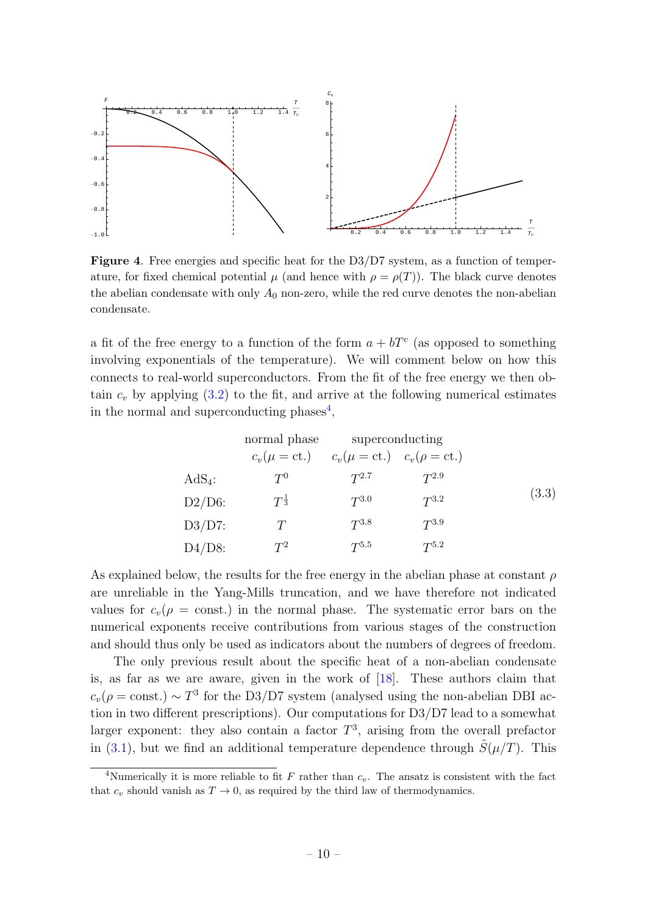

Figure 4. Free energies and specific heat for the D3/D7 system, as a function of temperature, for fixed chemical potential  $\mu$  (and hence with  $\rho = \rho(T)$ ). The black curve denotes the abelian condensate with only  $A_0$  non-zero, while the red curve denotes the non-abelian condensate.

a fit of the free energy to a function of the form  $a + bT<sup>c</sup>$  (as opposed to something involving exponentials of the temperature). We will comment below on how this connects to real-world superconductors. From the fit of the free energy we then obtain  $c_v$  by applying  $(3.2)$  to the fit, and arrive at the following numerical estimates in the normal and superconducting phases<sup>[4](#page-11-1)</sup>,

<span id="page-11-2"></span><span id="page-11-0"></span>normal phase superconducting  
\n
$$
c_v(\mu = ct.)
$$
  $c_v(\mu = ct.)$   $c_v(\rho = ct.)$   
\nAdS<sub>4</sub>:  
\nD2/D6:  $T^{\frac{1}{3}}$   $T^{3.0}$   $T^{3.2}$   
\nD3/D7:  $T$   $T^{3.8}$   $T^{3.9}$   
\nD4/D8:  $T^2$   $T^{5.5}$   $T^{5.2}$ 

As explained below, the results for the free energy in the abelian phase at constant  $\rho$ are unreliable in the Yang-Mills truncation, and we have therefore not indicated values for  $c_v(\rho = \text{const.})$  in the normal phase. The systematic error bars on the numerical exponents receive contributions from various stages of the construction and should thus only be used as indicators about the numbers of degrees of freedom.

The only previous result about the specific heat of a non-abelian condensate is, as far as we are aware, given in the work of [\[18\]](#page-26-0). These authors claim that  $c_v(\rho = \text{const.}) \sim T^3$  for the D3/D7 system (analysed using the non-abelian DBI action in two different prescriptions). Our computations for D3/D7 lead to a somewhat larger exponent: they also contain a factor  $T^3$ , arising from the overall prefactor in [\(3.1\)](#page-10-2), but we find an additional temperature dependence through  $\tilde{S}(\mu/T)$ . This

<span id="page-11-1"></span><sup>&</sup>lt;sup>4</sup>Numerically it is more reliable to fit F rather than  $c_v$ . The ansatz is consistent with the fact that  $c_v$  should vanish as  $T \to 0$ , as required by the third law of thermodynamics.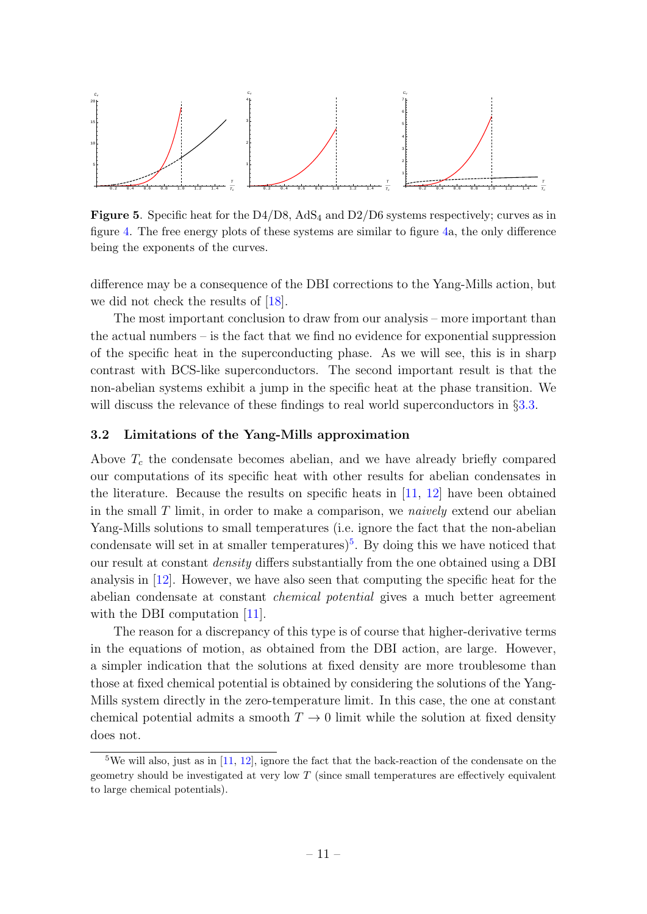

**Figure 5.** Specific heat for the  $D4/D8$ , AdS<sub>4</sub> and  $D2/D6$  systems respectively; curves as in figure [4.](#page-11-0) The free energy plots of these systems are similar to figure [4a](#page-11-0), the only difference being the exponents of the curves.

difference may be a consequence of the DBI corrections to the Yang-Mills action, but we did not check the results of [\[18\]](#page-26-0).

The most important conclusion to draw from our analysis – more important than the actual numbers – is the fact that we find no evidence for exponential suppression of the specific heat in the superconducting phase. As we will see, this is in sharp contrast with BCS-like superconductors. The second important result is that the non-abelian systems exhibit a jump in the specific heat at the phase transition. We will discuss the relevance of these findings to real world superconductors in §[3.3.](#page-13-0)

#### <span id="page-12-0"></span>3.2 Limitations of the Yang-Mills approximation

Above  $T_c$  the condensate becomes abelian, and we have already briefly compared our computations of its specific heat with other results for abelian condensates in the literature. Because the results on specific heats in [\[11,](#page-25-10) [12\]](#page-25-11) have been obtained in the small  $T$  limit, in order to make a comparison, we *naively* extend our abelian Yang-Mills solutions to small temperatures (i.e. ignore the fact that the non-abelian condensate will set in at smaller temperatures)<sup>[5](#page-12-1)</sup>. By doing this we have noticed that our result at constant density differs substantially from the one obtained using a DBI analysis in [\[12\]](#page-25-11). However, we have also seen that computing the specific heat for the abelian condensate at constant chemical potential gives a much better agreement with the DBI computation [\[11\]](#page-25-10).

The reason for a discrepancy of this type is of course that higher-derivative terms in the equations of motion, as obtained from the DBI action, are large. However, a simpler indication that the solutions at fixed density are more troublesome than those at fixed chemical potential is obtained by considering the solutions of the Yang-Mills system directly in the zero-temperature limit. In this case, the one at constant chemical potential admits a smooth  $T \to 0$  limit while the solution at fixed density does not.

<span id="page-12-1"></span><sup>&</sup>lt;sup>5</sup>We will also, just as in  $[11, 12]$  $[11, 12]$  $[11, 12]$ , ignore the fact that the back-reaction of the condensate on the geometry should be investigated at very low  $T$  (since small temperatures are effectively equivalent to large chemical potentials).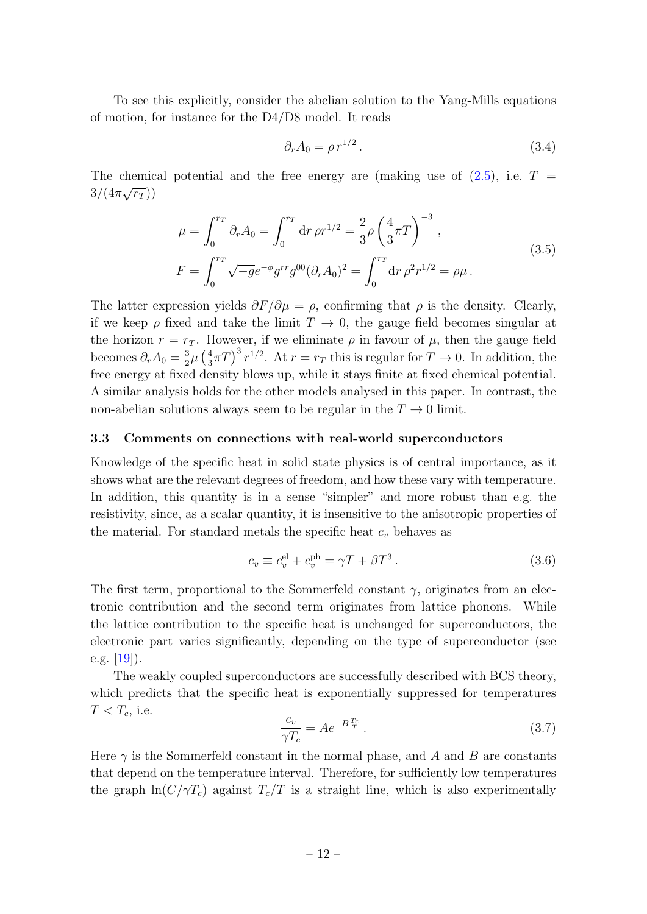To see this explicitly, consider the abelian solution to the Yang-Mills equations of motion, for instance for the D4/D8 model. It reads

$$
\partial_r A_0 = \rho \, r^{1/2} \,. \tag{3.4}
$$

The chemical potential and the free energy are (making use of  $(2.5)$ , i.e.  $T =$  $3/(4\pi\sqrt{r_T}))$ 

$$
\mu = \int_0^{r_T} \partial_r A_0 = \int_0^{r_T} dr \,\rho r^{1/2} = \frac{2}{3} \rho \left(\frac{4}{3}\pi T\right)^{-3},
$$
\n
$$
F = \int_0^{r_T} \sqrt{-g} e^{-\phi} g^{rr} g^{00} (\partial_r A_0)^2 = \int_0^{r_T} dr \,\rho^2 r^{1/2} = \rho \mu.
$$
\n(3.5)

The latter expression yields  $\partial F/\partial \mu = \rho$ , confirming that  $\rho$  is the density. Clearly, if we keep  $\rho$  fixed and take the limit  $T \to 0$ , the gauge field becomes singular at the horizon  $r = r_T$ . However, if we eliminate  $\rho$  in favour of  $\mu$ , then the gauge field becomes  $\partial_r A_0 = \frac{3}{2}$  $\frac{3}{2}\mu\left(\frac{4}{3}\right)$  $\frac{4}{3}\pi T$ <sup>3</sup>  $r^{1/2}$ . At  $r = r_T$  this is regular for  $T \to 0$ . In addition, the free energy at fixed density blows up, while it stays finite at fixed chemical potential. A similar analysis holds for the other models analysed in this paper. In contrast, the non-abelian solutions always seem to be regular in the  $T \to 0$  limit.

#### <span id="page-13-0"></span>3.3 Comments on connections with real-world superconductors

Knowledge of the specific heat in solid state physics is of central importance, as it shows what are the relevant degrees of freedom, and how these vary with temperature. In addition, this quantity is in a sense "simpler" and more robust than e.g. the resistivity, since, as a scalar quantity, it is insensitive to the anisotropic properties of the material. For standard metals the specific heat  $c_v$  behaves as

$$
c_v \equiv c_v^{\text{el}} + c_v^{\text{ph}} = \gamma T + \beta T^3. \tag{3.6}
$$

The first term, proportional to the Sommerfeld constant  $\gamma$ , originates from an electronic contribution and the second term originates from lattice phonons. While the lattice contribution to the specific heat is unchanged for superconductors, the electronic part varies significantly, depending on the type of superconductor (see e.g.  $[19]$ ).

The weakly coupled superconductors are successfully described with BCS theory, which predicts that the specific heat is exponentially suppressed for temperatures  $T < T_c$ , i.e.

$$
\frac{c_v}{\gamma T_c} = Ae^{-B\frac{T_c}{T}}.\tag{3.7}
$$

Here  $\gamma$  is the Sommerfeld constant in the normal phase, and A and B are constants that depend on the temperature interval. Therefore, for sufficiently low temperatures the graph  $\ln(C/\gamma T_c)$  against  $T_c/T$  is a straight line, which is also experimentally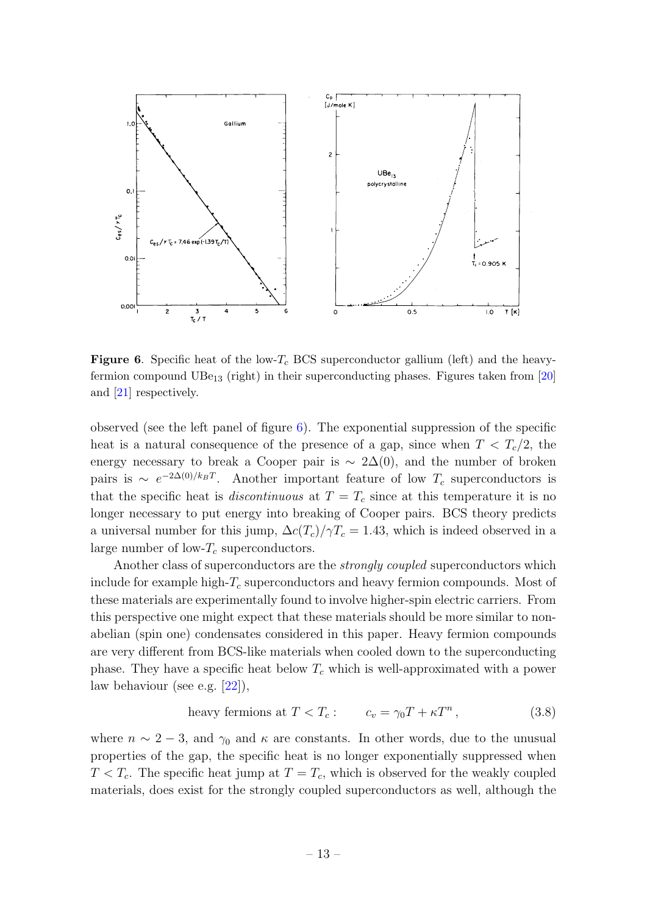

<span id="page-14-0"></span>**Figure 6.** Specific heat of the low- $T_c$  BCS superconductor gallium (left) and the heavyfermion compound  $UBe_{13}$  (right) in their superconducting phases. Figures taken from [\[20\]](#page-26-2) and [\[21\]](#page-26-3) respectively.

observed (see the left panel of figure  $6$ ). The exponential suppression of the specific heat is a natural consequence of the presence of a gap, since when  $T < T_c/2$ , the energy necessary to break a Cooper pair is  $\sim 2\Delta(0)$ , and the number of broken pairs is  $\sim e^{-2\Delta(0)/k_BT}$ . Another important feature of low  $T_c$  superconductors is that the specific heat is *discontinuous* at  $T = T_c$  since at this temperature it is no longer necessary to put energy into breaking of Cooper pairs. BCS theory predicts a universal number for this jump,  $\Delta c(T_c)/\gamma T_c = 1.43$ , which is indeed observed in a large number of low- $T_c$  superconductors.

Another class of superconductors are the *strongly coupled* superconductors which include for example high- $T_c$  superconductors and heavy fermion compounds. Most of these materials are experimentally found to involve higher-spin electric carriers. From this perspective one might expect that these materials should be more similar to nonabelian (spin one) condensates considered in this paper. Heavy fermion compounds are very different from BCS-like materials when cooled down to the superconducting phase. They have a specific heat below  $T_c$  which is well-approximated with a power law behaviour (see e.g. [\[22\]](#page-26-4)),

heavy fermions at 
$$
T < T_c
$$
:  $c_v = \gamma_0 T + \kappa T^n$ , (3.8)

where  $n \sim 2-3$ , and  $\gamma_0$  and  $\kappa$  are constants. In other words, due to the unusual properties of the gap, the specific heat is no longer exponentially suppressed when  $T < T_c$ . The specific heat jump at  $T = T_c$ , which is observed for the weakly coupled materials, does exist for the strongly coupled superconductors as well, although the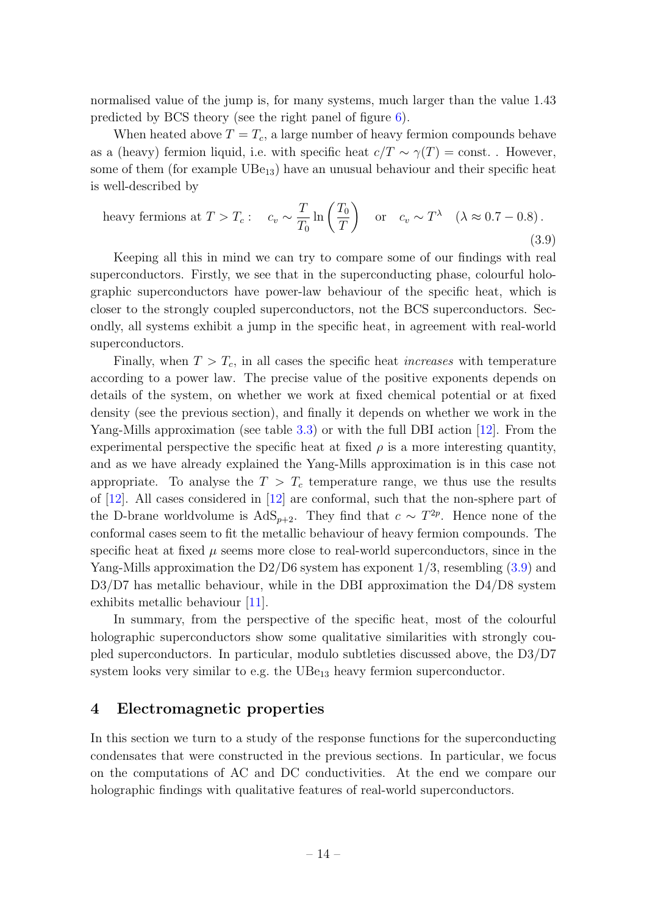normalised value of the jump is, for many systems, much larger than the value 1.43 predicted by BCS theory (see the right panel of figure [6\)](#page-14-0).

When heated above  $T = T_c$ , a large number of heavy fermion compounds behave as a (heavy) fermion liquid, i.e. with specific heat  $c/T \sim \gamma(T) = \text{const.}$ . However, some of them (for example  $UBe_{13}$ ) have an unusual behaviour and their specific heat is well-described by

<span id="page-15-1"></span>heavy fermions at 
$$
T > T_c
$$
:  $c_v \sim \frac{T}{T_0} \ln\left(\frac{T_0}{T}\right)$  or  $c_v \sim T^{\lambda}$  ( $\lambda \approx 0.7 - 0.8$ ).  
(3.9)

Keeping all this in mind we can try to compare some of our findings with real superconductors. Firstly, we see that in the superconducting phase, colourful holographic superconductors have power-law behaviour of the specific heat, which is closer to the strongly coupled superconductors, not the BCS superconductors. Secondly, all systems exhibit a jump in the specific heat, in agreement with real-world superconductors.

Finally, when  $T > T_c$ , in all cases the specific heat *increases* with temperature according to a power law. The precise value of the positive exponents depends on details of the system, on whether we work at fixed chemical potential or at fixed density (see the previous section), and finally it depends on whether we work in the Yang-Mills approximation (see table [3.3\)](#page-11-2) or with the full DBI action [\[12\]](#page-25-11). From the experimental perspective the specific heat at fixed  $\rho$  is a more interesting quantity, and as we have already explained the Yang-Mills approximation is in this case not appropriate. To analyse the  $T > T_c$  temperature range, we thus use the results of [\[12\]](#page-25-11). All cases considered in [\[12\]](#page-25-11) are conformal, such that the non-sphere part of the D-brane worldvolume is  $AdS_{p+2}$ . They find that  $c \sim T^{2p}$ . Hence none of the conformal cases seem to fit the metallic behaviour of heavy fermion compounds. The specific heat at fixed  $\mu$  seems more close to real-world superconductors, since in the Yang-Mills approximation the D2/D6 system has exponent  $1/3$ , resembling  $(3.9)$  and D3/D7 has metallic behaviour, while in the DBI approximation the D4/D8 system exhibits metallic behaviour [\[11\]](#page-25-10).

In summary, from the perspective of the specific heat, most of the colourful holographic superconductors show some qualitative similarities with strongly coupled superconductors. In particular, modulo subtleties discussed above, the D3/D7 system looks very similar to e.g. the  $UBe_{13}$  heavy fermion superconductor.

## <span id="page-15-0"></span>4 Electromagnetic properties

In this section we turn to a study of the response functions for the superconducting condensates that were constructed in the previous sections. In particular, we focus on the computations of AC and DC conductivities. At the end we compare our holographic findings with qualitative features of real-world superconductors.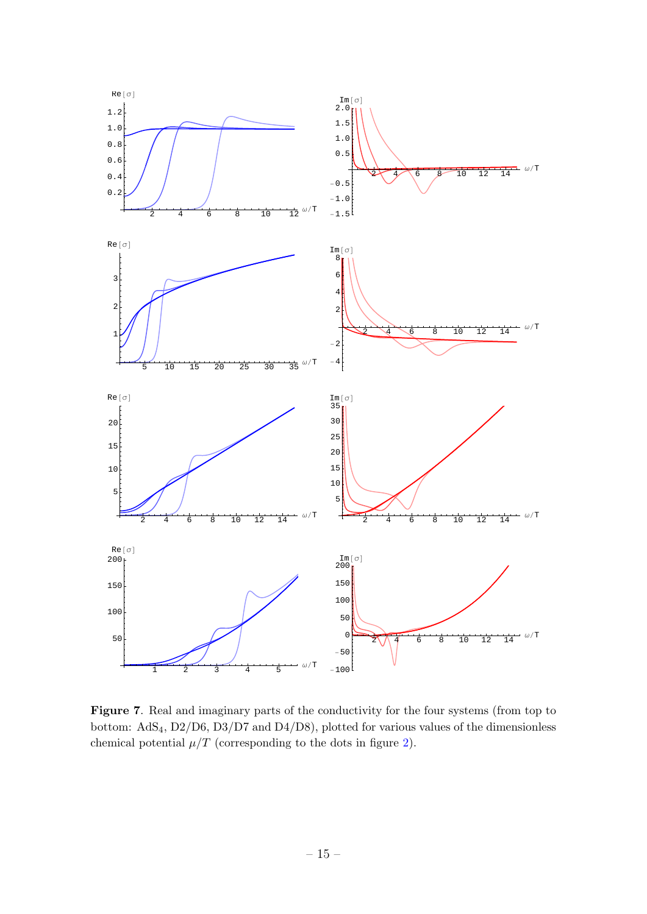

<span id="page-16-0"></span>Figure 7. Real and imaginary parts of the conductivity for the four systems (from top to bottom: AdS4, D2/D6, D3/D7 and D4/D8), plotted for various values of the dimensionless chemical potential  $\mu/T$  (corresponding to the dots in figure [2\)](#page-7-0).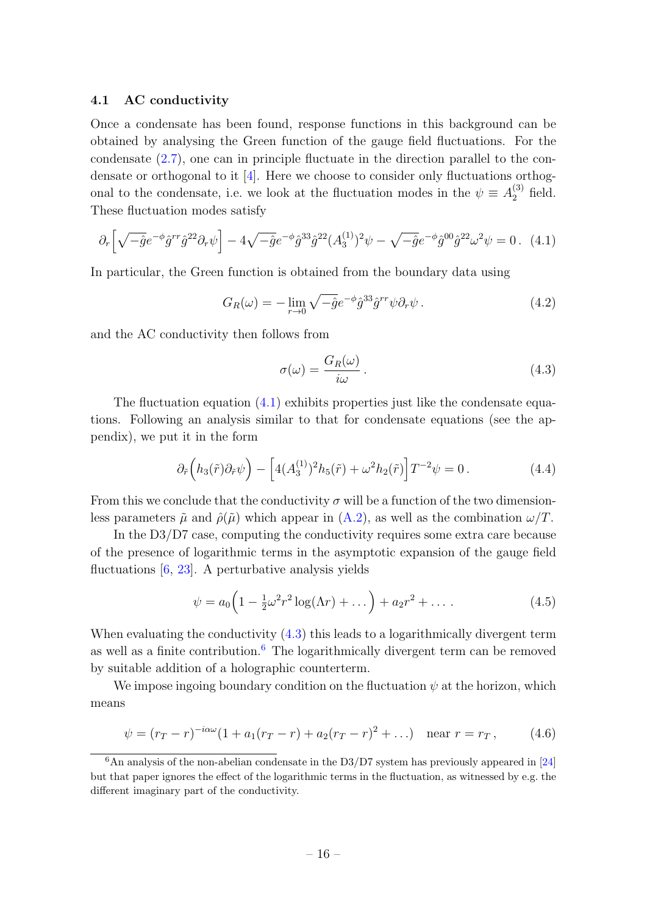#### <span id="page-17-0"></span>4.1 AC conductivity

Once a condensate has been found, response functions in this background can be obtained by analysing the Green function of the gauge field fluctuations. For the condensate [\(2.7\)](#page-5-2), one can in principle fluctuate in the direction parallel to the condensate or orthogonal to it [\[4\]](#page-25-3). Here we choose to consider only fluctuations orthogonal to the condensate, i.e. we look at the fluctuation modes in the  $\psi \equiv A_2^{(3)}$  field. These fluctuation modes satisfy

<span id="page-17-1"></span>
$$
\partial_r \left[ \sqrt{-\hat{g}} e^{-\phi} \hat{g}^{rr} \hat{g}^{22} \partial_r \psi \right] - 4 \sqrt{-\hat{g}} e^{-\phi} \hat{g}^{33} \hat{g}^{22} (A_3^{(1)})^2 \psi - \sqrt{-\hat{g}} e^{-\phi} \hat{g}^{00} \hat{g}^{22} \omega^2 \psi = 0. \tag{4.1}
$$

In particular, the Green function is obtained from the boundary data using

<span id="page-17-4"></span>
$$
G_R(\omega) = -\lim_{r \to 0} \sqrt{-\hat{g}} e^{-\phi} \hat{g}^{33} \hat{g}^{rr} \psi \partial_r \psi. \tag{4.2}
$$

and the AC conductivity then follows from

<span id="page-17-2"></span>
$$
\sigma(\omega) = \frac{G_R(\omega)}{i\omega} \,. \tag{4.3}
$$

The fluctuation equation  $(4.1)$  exhibits properties just like the condensate equations. Following an analysis similar to that for condensate equations (see the appendix), we put it in the form

<span id="page-17-5"></span>
$$
\partial_{\tilde{r}}\left(h_3(\tilde{r})\partial_{\tilde{r}}\psi\right) - \left[4(A_3^{(1)})^2h_5(\tilde{r}) + \omega^2h_2(\tilde{r})\right]T^{-2}\psi = 0. \tag{4.4}
$$

From this we conclude that the conductivity  $\sigma$  will be a function of the two dimensionless parameters  $\tilde{\mu}$  and  $\hat{\rho}(\tilde{\mu})$  which appear in  $(A.2)$ , as well as the combination  $\omega/T$ .

In the D3/D7 case, computing the conductivity requires some extra care because of the presence of logarithmic terms in the asymptotic expansion of the gauge field fluctuations [\[6,](#page-25-5) [23\]](#page-26-5). A perturbative analysis yields

$$
\psi = a_0 \left( 1 - \frac{1}{2} \omega^2 r^2 \log(\Lambda r) + \dots \right) + a_2 r^2 + \dots \tag{4.5}
$$

When evaluating the conductivity  $(4.3)$  this leads to a logarithmically divergent term as well as a finite contribution.<sup>[6](#page-17-3)</sup> The logarithmically divergent term can be removed by suitable addition of a holographic counterterm.

We impose ingoing boundary condition on the fluctuation  $\psi$  at the horizon, which means

$$
\psi = (r_T - r)^{-i\alpha\omega} (1 + a_1(r_T - r) + a_2(r_T - r)^2 + \ldots) \quad \text{near } r = r_T, \tag{4.6}
$$

<span id="page-17-3"></span> $6$ An analysis of the non-abelian condensate in the D3/D7 system has previously appeared in [\[24\]](#page-26-6) but that paper ignores the effect of the logarithmic terms in the fluctuation, as witnessed by e.g. the different imaginary part of the conductivity.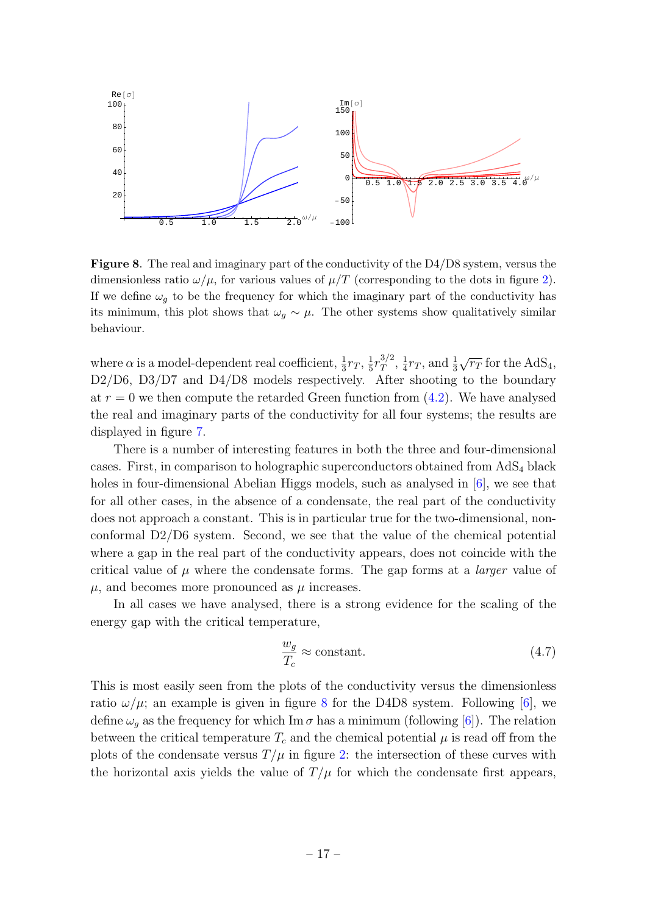

<span id="page-18-0"></span>Figure 8. The real and imaginary part of the conductivity of the D4/D8 system, versus the dimensionless ratio  $\omega/\mu$ , for various values of  $\mu/T$  (corresponding to the dots in figure [2\)](#page-7-0). If we define  $\omega_g$  to be the frequency for which the imaginary part of the conductivity has its minimum, this plot shows that  $\omega_g \sim \mu$ . The other systems show qualitatively similar behaviour.

where  $\alpha$  is a model-dependent real coefficient,  $\frac{1}{3}r_T$ ,  $\frac{1}{5}$  $\frac{1}{5}r_T^{3/2}$  $_{{\small T}}^{3/2},\frac{1}{4}$  $\frac{1}{4}r_T$ , and  $\frac{1}{3}$  $\sqrt{r_T}$  for the AdS<sub>4</sub>, D2/D6, D3/D7 and D4/D8 models respectively. After shooting to the boundary at  $r = 0$  we then compute the retarded Green function from  $(4.2)$ . We have analysed the real and imaginary parts of the conductivity for all four systems; the results are displayed in figure [7.](#page-16-0)

There is a number of interesting features in both the three and four-dimensional cases. First, in comparison to holographic superconductors obtained from  $AdS_4$  black holes in four-dimensional Abelian Higgs models, such as analysed in [\[6\]](#page-25-5), we see that for all other cases, in the absence of a condensate, the real part of the conductivity does not approach a constant. This is in particular true for the two-dimensional, nonconformal D2/D6 system. Second, we see that the value of the chemical potential where a gap in the real part of the conductivity appears, does not coincide with the critical value of  $\mu$  where the condensate forms. The gap forms at a *larger* value of  $\mu$ , and becomes more pronounced as  $\mu$  increases.

In all cases we have analysed, there is a strong evidence for the scaling of the energy gap with the critical temperature,

$$
\frac{w_g}{T_c} \approx \text{constant.} \tag{4.7}
$$

This is most easily seen from the plots of the conductivity versus the dimensionless ratio  $\omega/\mu$ ; an example is given in figure [8](#page-18-0) for the D4D8 system. Following [\[6\]](#page-25-5), we define  $\omega_q$  as the frequency for which Im  $\sigma$  has a minimum (following [\[6\]](#page-25-5)). The relation between the critical temperature  $T_c$  and the chemical potential  $\mu$  is read off from the plots of the condensate versus  $T/\mu$  in figure [2:](#page-7-0) the intersection of these curves with the horizontal axis yields the value of  $T/\mu$  for which the condensate first appears,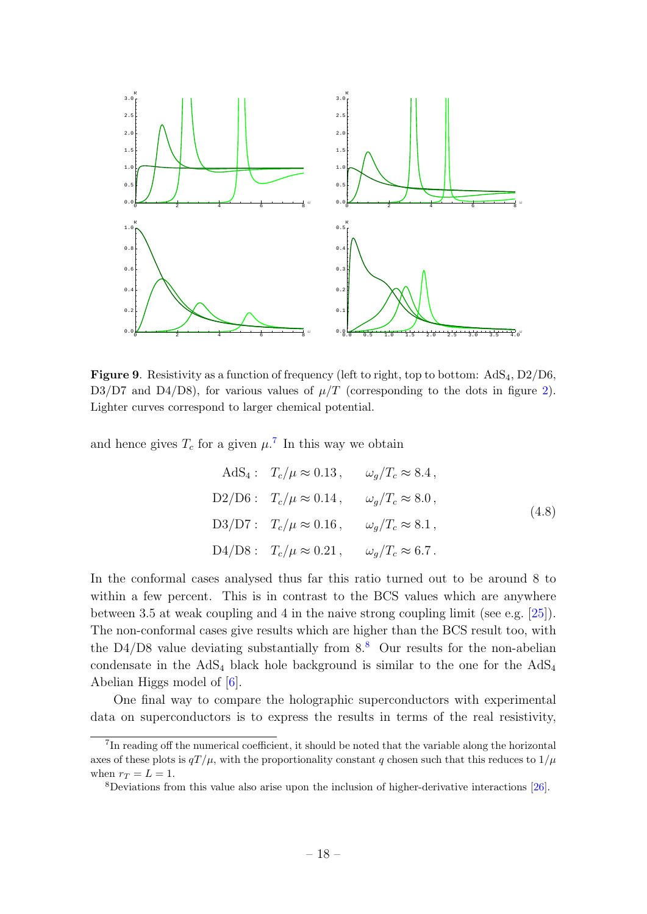

<span id="page-19-2"></span>**Figure 9.** Resistivity as a function of frequency (left to right, top to bottom:  $AdS<sub>4</sub>$ ,  $D<sub>2</sub>/D<sub>6</sub>$ , D3/D7 and D4/D8), for various values of  $\mu/T$  (corresponding to the dots in figure [2\)](#page-7-0). Lighter curves correspond to larger chemical potential.

and hence gives  $T_c$  for a given  $\mu$ .<sup>[7](#page-19-0)</sup> In this way we obtain

AdS<sub>4</sub>: 
$$
T_c/\mu \approx 0.13
$$
,  $\omega_g/T_c \approx 8.4$ ,  
\nD2/D6:  $T_c/\mu \approx 0.14$ ,  $\omega_g/T_c \approx 8.0$ ,  
\nD3/D7:  $T_c/\mu \approx 0.16$ ,  $\omega_g/T_c \approx 8.1$ ,  
\nD4/D8:  $T_c/\mu \approx 0.21$ ,  $\omega_g/T_c \approx 6.7$ .

In the conformal cases analysed thus far this ratio turned out to be around 8 to within a few percent. This is in contrast to the BCS values which are anywhere between 3.5 at weak coupling and 4 in the naive strong coupling limit (see e.g. [\[25\]](#page-26-7)). The non-conformal cases give results which are higher than the BCS result too, with the D4/D[8](#page-19-1) value deviating substantially from  $8.8$  Our results for the non-abelian condensate in the  $AdS_4$  black hole background is similar to the one for the  $AdS_4$ Abelian Higgs model of [\[6\]](#page-25-5).

One final way to compare the holographic superconductors with experimental data on superconductors is to express the results in terms of the real resistivity,

<span id="page-19-0"></span><sup>&</sup>lt;sup>7</sup>In reading off the numerical coefficient, it should be noted that the variable along the horizontal axes of these plots is  $qT/\mu$ , with the proportionality constant q chosen such that this reduces to  $1/\mu$ when  $r_T = L = 1$ .

<span id="page-19-1"></span><sup>8</sup>Deviations from this value also arise upon the inclusion of higher-derivative interactions [\[26\]](#page-26-8).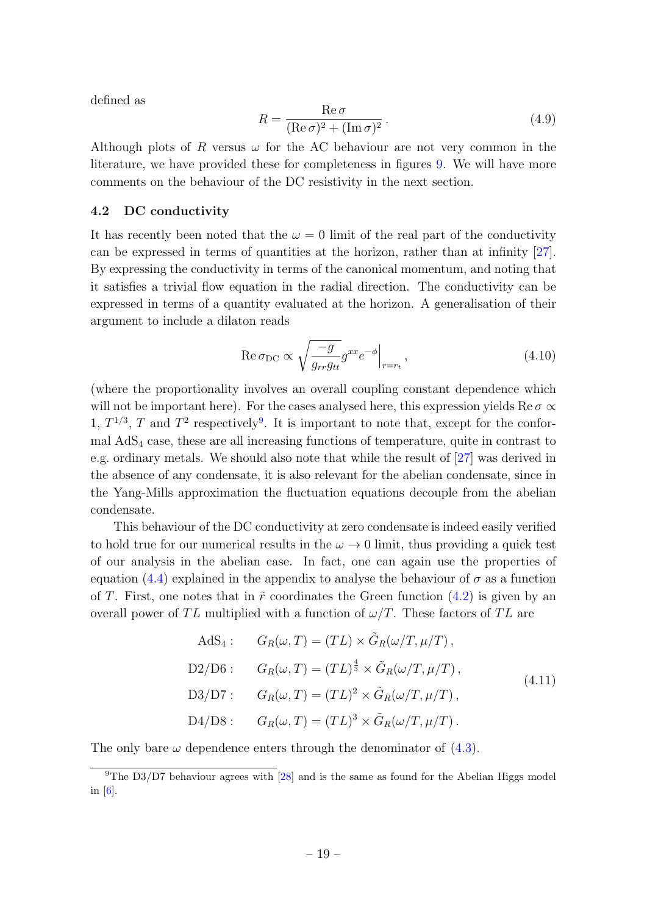defined as

$$
R = \frac{\text{Re}\,\sigma}{(\text{Re}\,\sigma)^2 + (\text{Im}\,\sigma)^2} \,. \tag{4.9}
$$

Although plots of R versus  $\omega$  for the AC behaviour are not very common in the literature, we have provided these for completeness in figures [9.](#page-19-2) We will have more comments on the behaviour of the DC resistivity in the next section.

#### <span id="page-20-0"></span>4.2 DC conductivity

It has recently been noted that the  $\omega = 0$  limit of the real part of the conductivity can be expressed in terms of quantities at the horizon, rather than at infinity [\[27\]](#page-26-9). By expressing the conductivity in terms of the canonical momentum, and noting that it satisfies a trivial flow equation in the radial direction. The conductivity can be expressed in terms of a quantity evaluated at the horizon. A generalisation of their argument to include a dilaton reads

$$
\operatorname{Re}\sigma_{\rm DC} \propto \sqrt{\frac{-g}{g_{rr}g_{tt}}} g^{xx} e^{-\phi} \Big|_{r=r_t},\tag{4.10}
$$

(where the proportionality involves an overall coupling constant dependence which will not be important here). For the cases analysed here, this expression yields Re  $\sigma \propto$ 1,  $T^{1/3}$ , T and  $T^2$  respectively<sup>[9](#page-20-1)</sup>. It is important to note that, except for the conformal AdS<sup>4</sup> case, these are all increasing functions of temperature, quite in contrast to e.g. ordinary metals. We should also note that while the result of [\[27\]](#page-26-9) was derived in the absence of any condensate, it is also relevant for the abelian condensate, since in the Yang-Mills approximation the fluctuation equations decouple from the abelian condensate.

This behaviour of the DC conductivity at zero condensate is indeed easily verified to hold true for our numerical results in the  $\omega \to 0$  limit, thus providing a quick test of our analysis in the abelian case. In fact, one can again use the properties of equation [\(4.4\)](#page-17-5) explained in the appendix to analyse the behaviour of  $\sigma$  as a function of T. First, one notes that in  $\tilde{r}$  coordinates the Green function [\(4.2\)](#page-17-4) is given by an overall power of TL multiplied with a function of  $\omega/T$ . These factors of TL are

AdS<sub>4</sub>: 
$$
G_R(\omega, T) = (TL) \times \tilde{G}_R(\omega/T, \mu/T),
$$
  
\nD2/D6:  $G_R(\omega, T) = (TL)^{\frac{4}{3}} \times \tilde{G}_R(\omega/T, \mu/T),$   
\nD3/D7:  $G_R(\omega, T) = (TL)^2 \times \tilde{G}_R(\omega/T, \mu/T),$   
\nD4/D8:  $G_R(\omega, T) = (TL)^3 \times \tilde{G}_R(\omega/T, \mu/T).$  (4.11)

The only bare  $\omega$  dependence enters through the denominator of [\(4.3\)](#page-17-2).

<span id="page-20-1"></span> $9$ The D3/D7 behaviour agrees with  $[28]$  and is the same as found for the Abelian Higgs model in [\[6\]](#page-25-5).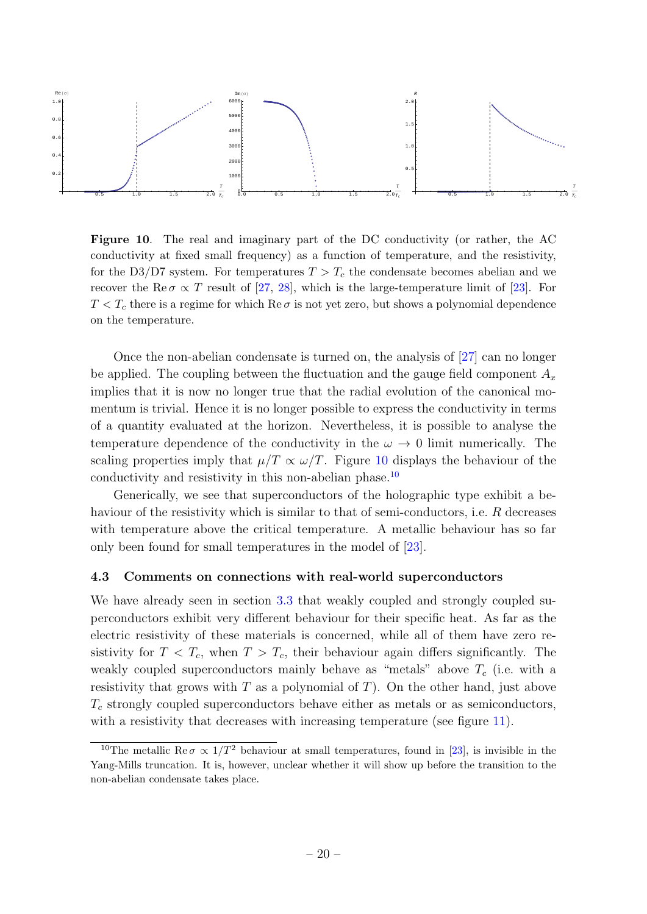

<span id="page-21-1"></span>Figure 10. The real and imaginary part of the DC conductivity (or rather, the AC conductivity at fixed small frequency) as a function of temperature, and the resistivity, for the D3/D7 system. For temperatures  $T > T_c$  the condensate becomes abelian and we recover the Re  $\sigma \propto T$  result of [\[27,](#page-26-9) [28\]](#page-26-10), which is the large-temperature limit of [\[23\]](#page-26-5). For  $T < T_c$  there is a regime for which Re  $\sigma$  is not yet zero, but shows a polynomial dependence on the temperature.

Once the non-abelian condensate is turned on, the analysis of [\[27\]](#page-26-9) can no longer be applied. The coupling between the fluctuation and the gauge field component  $A_x$ implies that it is now no longer true that the radial evolution of the canonical momentum is trivial. Hence it is no longer possible to express the conductivity in terms of a quantity evaluated at the horizon. Nevertheless, it is possible to analyse the temperature dependence of the conductivity in the  $\omega \to 0$  limit numerically. The scaling properties imply that  $\mu/T \propto \omega/T$ . Figure [10](#page-21-1) displays the behaviour of the conductivity and resistivity in this non-abelian phase.<sup>[10](#page-21-2)</sup>

Generically, we see that superconductors of the holographic type exhibit a behaviour of the resistivity which is similar to that of semi-conductors, i.e. R decreases with temperature above the critical temperature. A metallic behaviour has so far only been found for small temperatures in the model of [\[23\]](#page-26-5).

#### <span id="page-21-0"></span>4.3 Comments on connections with real-world superconductors

We have already seen in section [3.3](#page-13-0) that weakly coupled and strongly coupled superconductors exhibit very different behaviour for their specific heat. As far as the electric resistivity of these materials is concerned, while all of them have zero resistivity for  $T < T_c$ , when  $T > T_c$ , their behaviour again differs significantly. The weakly coupled superconductors mainly behave as "metals" above  $T_c$  (i.e. with a resistivity that grows with  $T$  as a polynomial of  $T$ ). On the other hand, just above  $T_c$  strongly coupled superconductors behave either as metals or as semiconductors, with a resistivity that decreases with increasing temperature (see figure [11\)](#page-22-0).

<span id="page-21-2"></span><sup>&</sup>lt;sup>10</sup>The metallic Re $\sigma \propto 1/T^2$  behaviour at small temperatures, found in [\[23\]](#page-26-5), is invisible in the Yang-Mills truncation. It is, however, unclear whether it will show up before the transition to the non-abelian condensate takes place.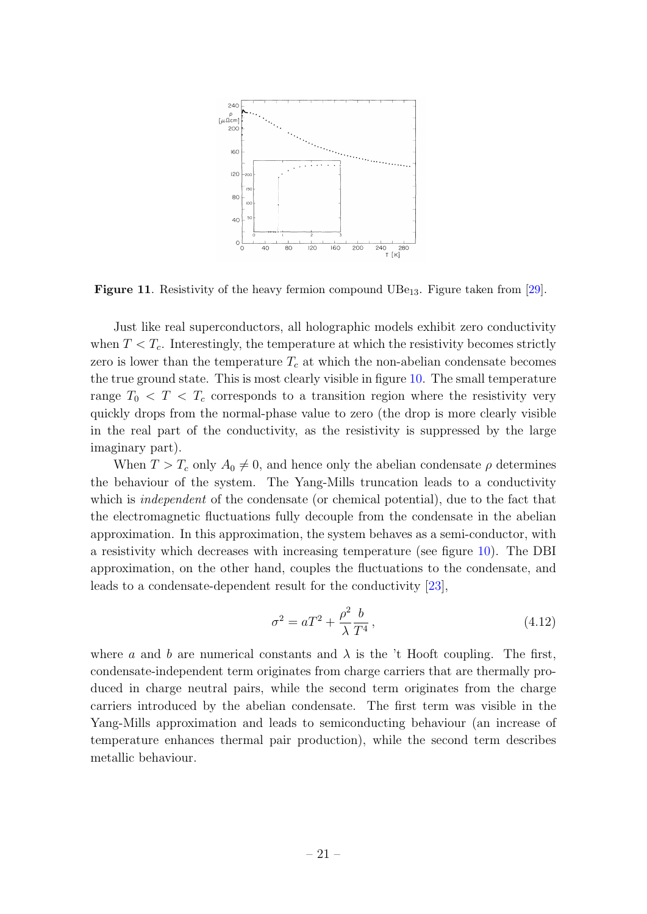

<span id="page-22-0"></span>**Figure 11.** Resistivity of the heavy fermion compound  $UBe_{13}$ . Figure taken from [\[29\]](#page-26-11).

Just like real superconductors, all holographic models exhibit zero conductivity when  $T < T_c$ . Interestingly, the temperature at which the resistivity becomes strictly zero is lower than the temperature  $T_c$  at which the non-abelian condensate becomes the true ground state. This is most clearly visible in figure [10.](#page-21-1) The small temperature range  $T_0 < T < T_c$  corresponds to a transition region where the resistivity very quickly drops from the normal-phase value to zero (the drop is more clearly visible in the real part of the conductivity, as the resistivity is suppressed by the large imaginary part).

When  $T > T_c$  only  $A_0 \neq 0$ , and hence only the abelian condensate  $\rho$  determines the behaviour of the system. The Yang-Mills truncation leads to a conductivity which is *independent* of the condensate (or chemical potential), due to the fact that the electromagnetic fluctuations fully decouple from the condensate in the abelian approximation. In this approximation, the system behaves as a semi-conductor, with a resistivity which decreases with increasing temperature (see figure [10\)](#page-21-1). The DBI approximation, on the other hand, couples the fluctuations to the condensate, and leads to a condensate-dependent result for the conductivity [\[23\]](#page-26-5),

$$
\sigma^2 = aT^2 + \frac{\rho^2}{\lambda} \frac{b}{T^4},\tag{4.12}
$$

where a and b are numerical constants and  $\lambda$  is the 't Hooft coupling. The first, condensate-independent term originates from charge carriers that are thermally produced in charge neutral pairs, while the second term originates from the charge carriers introduced by the abelian condensate. The first term was visible in the Yang-Mills approximation and leads to semiconducting behaviour (an increase of temperature enhances thermal pair production), while the second term describes metallic behaviour.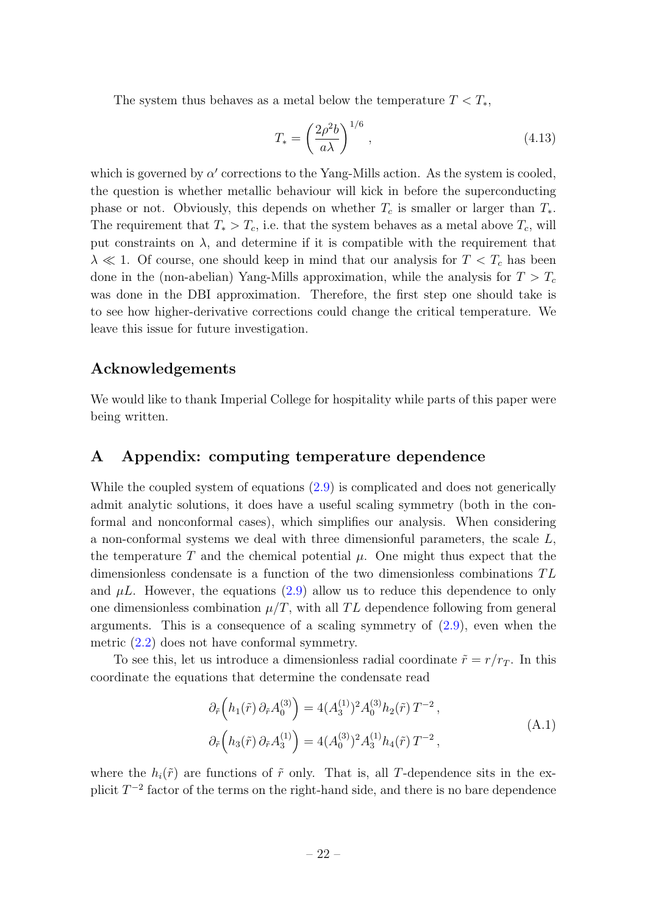The system thus behaves as a metal below the temperature  $T < T_*$ ,

$$
T_* = \left(\frac{2\rho^2 b}{a\lambda}\right)^{1/6},\tag{4.13}
$$

which is governed by  $\alpha'$  corrections to the Yang-Mills action. As the system is cooled, the question is whether metallic behaviour will kick in before the superconducting phase or not. Obviously, this depends on whether  $T_c$  is smaller or larger than  $T_*$ . The requirement that  $T_* > T_c$ , i.e. that the system behaves as a metal above  $T_c$ , will put constraints on  $\lambda$ , and determine if it is compatible with the requirement that  $\lambda \ll 1$ . Of course, one should keep in mind that our analysis for  $T < T_c$  has been done in the (non-abelian) Yang-Mills approximation, while the analysis for  $T > T_c$ was done in the DBI approximation. Therefore, the first step one should take is to see how higher-derivative corrections could change the critical temperature. We leave this issue for future investigation.

## Acknowledgements

We would like to thank Imperial College for hospitality while parts of this paper were being written.

## <span id="page-23-0"></span>A Appendix: computing temperature dependence

While the coupled system of equations [\(2.9\)](#page-5-3) is complicated and does not generically admit analytic solutions, it does have a useful scaling symmetry (both in the conformal and nonconformal cases), which simplifies our analysis. When considering a non-conformal systems we deal with three dimensionful parameters, the scale L, the temperature T and the chemical potential  $\mu$ . One might thus expect that the dimensionless condensate is a function of the two dimensionless combinations  $TL$ and  $\mu L$ . However, the equations [\(2.9\)](#page-5-3) allow us to reduce this dependence to only one dimensionless combination  $\mu/T$ , with all TL dependence following from general arguments. This is a consequence of a scaling symmetry of  $(2.9)$ , even when the metric [\(2.2\)](#page-4-2) does not have conformal symmetry.

To see this, let us introduce a dimensionless radial coordinate  $\tilde{r} = r/r_T$ . In this coordinate the equations that determine the condensate read

<span id="page-23-1"></span>
$$
\partial_{\tilde{r}}\left(h_1(\tilde{r})\partial_{\tilde{r}}A_0^{(3)}\right) = 4(A_3^{(1)})^2 A_0^{(3)} h_2(\tilde{r}) T^{-2},
$$
\n
$$
\partial_{\tilde{r}}\left(h_3(\tilde{r})\partial_{\tilde{r}}A_3^{(1)}\right) = 4(A_0^{(3)})^2 A_3^{(1)} h_4(\tilde{r}) T^{-2},
$$
\n(A.1)

where the  $h_i(\tilde{r})$  are functions of  $\tilde{r}$  only. That is, all T-dependence sits in the explicit  $T^{-2}$  factor of the terms on the right-hand side, and there is no bare dependence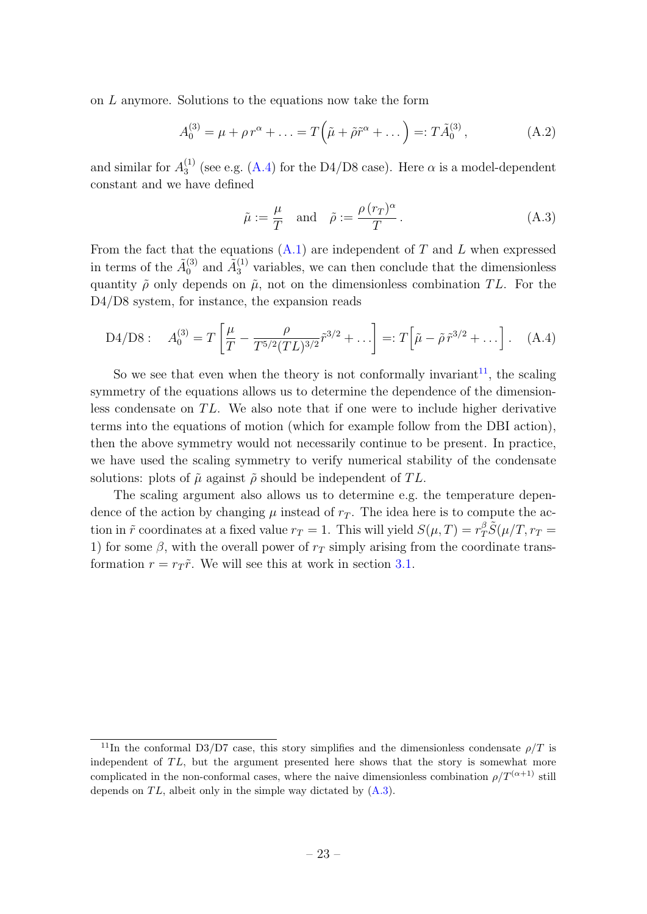on L anymore. Solutions to the equations now take the form

<span id="page-24-0"></span>
$$
A_0^{(3)} = \mu + \rho r^{\alpha} + \dots = T(\tilde{\mu} + \tilde{\rho}\tilde{r}^{\alpha} + \dots) =: T\tilde{A}_0^{(3)},
$$
 (A.2)

and similar for  $A_3^{(1)}$  $_3^{(1)}$  (see e.g. [\(A.4\)](#page-24-1) for the D4/D8 case). Here  $\alpha$  is a model-dependent constant and we have defined

<span id="page-24-3"></span>
$$
\tilde{\mu} := \frac{\mu}{T} \text{ and } \tilde{\rho} := \frac{\rho(r_T)^{\alpha}}{T}.
$$
\n(A.3)

From the fact that the equations  $(A.1)$  are independent of T and L when expressed in terms of the  $\tilde{A}_0^{(3)}$  $\tilde{A}_0^{(3)}$  and  $\tilde{A}_3^{(1)}$  variables, we can then conclude that the dimensionless quantity  $\tilde{\rho}$  only depends on  $\tilde{\mu}$ , not on the dimensionless combination TL. For the D4/D8 system, for instance, the expansion reads

<span id="page-24-1"></span>D4/D8: 
$$
A_0^{(3)} = T \left[ \frac{\mu}{T} - \frac{\rho}{T^{5/2} (TL)^{3/2}} \tilde{r}^{3/2} + \ldots \right] =: T \left[ \tilde{\mu} - \tilde{\rho} \tilde{r}^{3/2} + \ldots \right].
$$
 (A.4)

So we see that even when the theory is not conformally invariant<sup>[11](#page-24-2)</sup>, the scaling symmetry of the equations allows us to determine the dependence of the dimensionless condensate on  $TL$ . We also note that if one were to include higher derivative terms into the equations of motion (which for example follow from the DBI action), then the above symmetry would not necessarily continue to be present. In practice, we have used the scaling symmetry to verify numerical stability of the condensate solutions: plots of  $\tilde{\mu}$  against  $\tilde{\rho}$  should be independent of TL.

The scaling argument also allows us to determine e.g. the temperature dependence of the action by changing  $\mu$  instead of  $r<sub>T</sub>$ . The idea here is to compute the action in  $\tilde{r}$  coordinates at a fixed value  $r_T = 1$ . This will yield  $S(\mu, T) = r_T^{\beta} \tilde{S}(\mu/T, r_T =$ 1) for some  $\beta$ , with the overall power of  $r<sub>T</sub>$  simply arising from the coordinate transformation  $r = r_T \tilde{r}$ . We will see this at work in section [3.1.](#page-10-1)

<span id="page-24-2"></span><sup>&</sup>lt;sup>11</sup>In the conformal D3/D7 case, this story simplifies and the dimensionless condensate  $\rho/T$  is independent of  $TL$ , but the argument presented here shows that the story is somewhat more complicated in the non-conformal cases, where the naive dimensionless combination  $\rho/T^{(\alpha+1)}$  still depends on  $TL$ , albeit only in the simple way dictated by  $(A.3)$ .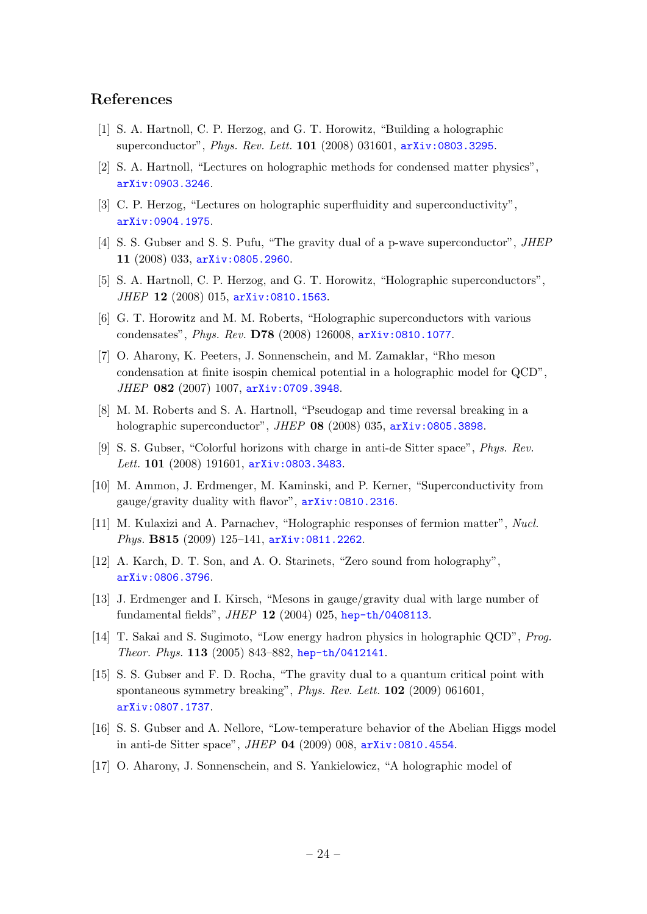## References

- <span id="page-25-0"></span>[1] S. A. Hartnoll, C. P. Herzog, and G. T. Horowitz, "Building a holographic superconductor", Phys. Rev. Lett. 101 (2008) 031601, [arXiv:0803.3295](http://xxx.lanl.gov/abs/0803.3295).
- <span id="page-25-1"></span>[2] S. A. Hartnoll, "Lectures on holographic methods for condensed matter physics", [arXiv:0903.3246](http://xxx.lanl.gov/abs/0903.3246).
- <span id="page-25-2"></span>[3] C. P. Herzog, "Lectures on holographic superfluidity and superconductivity", [arXiv:0904.1975](http://xxx.lanl.gov/abs/0904.1975).
- <span id="page-25-3"></span>[4] S. S. Gubser and S. S. Pufu, "The gravity dual of a p-wave superconductor", JHEP 11 (2008) 033, [arXiv:0805.2960](http://xxx.lanl.gov/abs/0805.2960).
- <span id="page-25-4"></span>[5] S. A. Hartnoll, C. P. Herzog, and G. T. Horowitz, "Holographic superconductors", JHEP 12 (2008) 015, [arXiv:0810.1563](http://xxx.lanl.gov/abs/0810.1563).
- <span id="page-25-5"></span>[6] G. T. Horowitz and M. M. Roberts, "Holographic superconductors with various condensates", Phys. Rev. D78 (2008) 126008, [arXiv:0810.1077](http://xxx.lanl.gov/abs/0810.1077).
- <span id="page-25-6"></span>[7] O. Aharony, K. Peeters, J. Sonnenschein, and M. Zamaklar, "Rho meson condensation at finite isospin chemical potential in a holographic model for QCD", JHEP 082 (2007) 1007, [arXiv:0709.3948](http://xxx.lanl.gov/abs/0709.3948).
- <span id="page-25-7"></span>[8] M. M. Roberts and S. A. Hartnoll, "Pseudogap and time reversal breaking in a holographic superconductor", JHEP 08 (2008) 035, [arXiv:0805.3898](http://xxx.lanl.gov/abs/0805.3898).
- <span id="page-25-8"></span>[9] S. S. Gubser, "Colorful horizons with charge in anti-de Sitter space", Phys. Rev. Lett. 101 (2008) 191601, [arXiv:0803.3483](http://xxx.lanl.gov/abs/0803.3483).
- <span id="page-25-9"></span>[10] M. Ammon, J. Erdmenger, M. Kaminski, and P. Kerner, "Superconductivity from gauge/gravity duality with flavor", [arXiv:0810.2316](http://xxx.lanl.gov/abs/0810.2316).
- <span id="page-25-10"></span>[11] M. Kulaxizi and A. Parnachev, "Holographic responses of fermion matter", Nucl. Phys. B815 (2009) 125-141, [arXiv:0811.2262](http://xxx.lanl.gov/abs/0811.2262).
- <span id="page-25-11"></span>[12] A. Karch, D. T. Son, and A. O. Starinets, "Zero sound from holography", [arXiv:0806.3796](http://xxx.lanl.gov/abs/0806.3796).
- <span id="page-25-13"></span>[13] J. Erdmenger and I. Kirsch, "Mesons in gauge/gravity dual with large number of fundamental fields", JHEP 12 (2004) 025, [hep-th/0408113](http://xxx.lanl.gov/abs/hep-th/0408113).
- <span id="page-25-12"></span>[14] T. Sakai and S. Sugimoto, "Low energy hadron physics in holographic QCD", Prog. Theor. Phys. 113 (2005) 843–882, [hep-th/0412141](http://xxx.lanl.gov/abs/hep-th/0412141).
- <span id="page-25-14"></span>[15] S. S. Gubser and F. D. Rocha, "The gravity dual to a quantum critical point with spontaneous symmetry breaking", *Phys. Rev. Lett.* **102** (2009) 061601, [arXiv:0807.1737](http://xxx.lanl.gov/abs/0807.1737).
- <span id="page-25-15"></span>[16] S. S. Gubser and A. Nellore, "Low-temperature behavior of the Abelian Higgs model in anti-de Sitter space", JHEP 04 (2009) 008, [arXiv:0810.4554](http://xxx.lanl.gov/abs/0810.4554).
- <span id="page-25-16"></span>[17] O. Aharony, J. Sonnenschein, and S. Yankielowicz, "A holographic model of